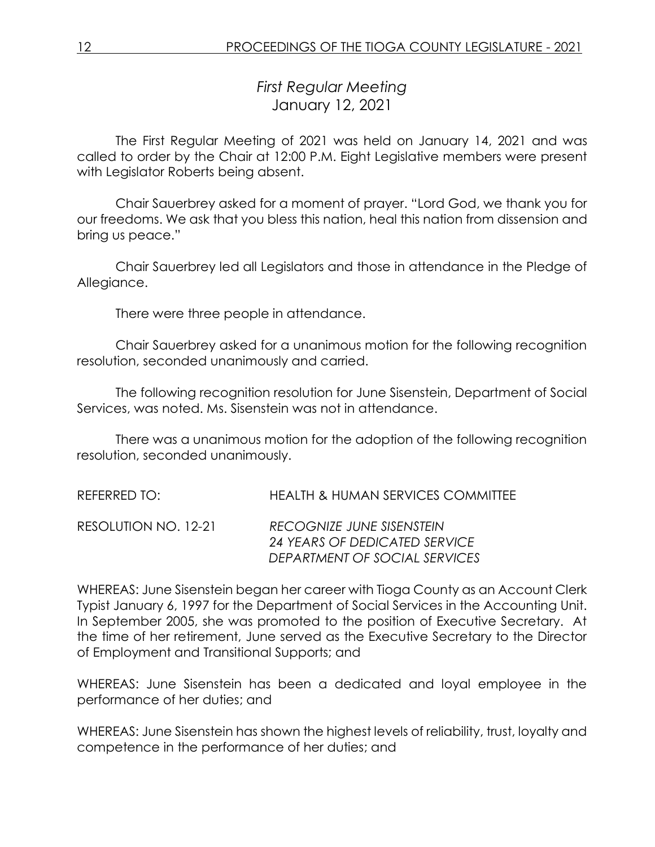*First Regular Meeting* January 12, 2021

The First Regular Meeting of 2021 was held on January 14, 2021 and was called to order by the Chair at 12:00 P.M. Eight Legislative members were present with Legislator Roberts being absent.

Chair Sauerbrey asked for a moment of prayer. "Lord God, we thank you for our freedoms. We ask that you bless this nation, heal this nation from dissension and bring us peace."

Chair Sauerbrey led all Legislators and those in attendance in the Pledge of Allegiance.

There were three people in attendance.

Chair Sauerbrey asked for a unanimous motion for the following recognition resolution, seconded unanimously and carried.

The following recognition resolution for June Sisenstein, Department of Social Services, was noted. Ms. Sisenstein was not in attendance.

There was a unanimous motion for the adoption of the following recognition resolution, seconded unanimously.

| REFERRED TO:         | <b>HEALTH &amp; HUMAN SERVICES COMMITTEE</b>                                                |
|----------------------|---------------------------------------------------------------------------------------------|
| RESOLUTION NO. 12-21 | RECOGNIZE JUNE SISENSTEIN<br>24 YEARS OF DEDICATED SERVICE<br>DEPARTMENT OF SOCIAL SERVICES |

WHEREAS: June Sisenstein began her career with Tioga County as an Account Clerk Typist January 6, 1997 for the Department of Social Services in the Accounting Unit. In September 2005, she was promoted to the position of Executive Secretary. At the time of her retirement, June served as the Executive Secretary to the Director of Employment and Transitional Supports; and

WHEREAS: June Sisenstein has been a dedicated and loyal employee in the performance of her duties; and

WHEREAS: June Sisenstein has shown the highest levels of reliability, trust, loyalty and competence in the performance of her duties; and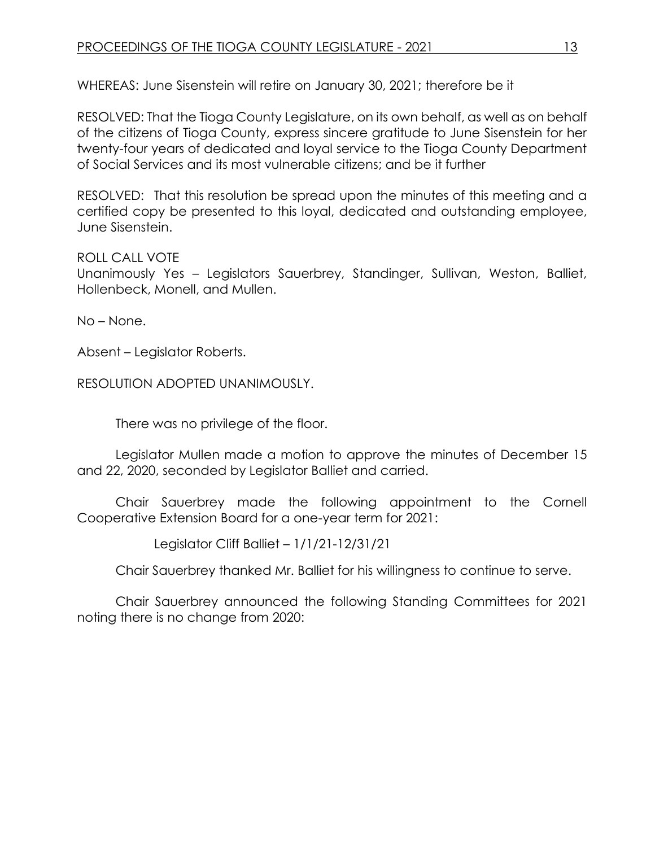WHEREAS: June Sisenstein will retire on January 30, 2021; therefore be it

RESOLVED: That the Tioga County Legislature, on its own behalf, as well as on behalf of the citizens of Tioga County, express sincere gratitude to June Sisenstein for her twenty-four years of dedicated and loyal service to the Tioga County Department of Social Services and its most vulnerable citizens; and be it further

RESOLVED: That this resolution be spread upon the minutes of this meeting and a certified copy be presented to this loyal, dedicated and outstanding employee, June Sisenstein.

ROLL CALL VOTE

Unanimously Yes – Legislators Sauerbrey, Standinger, Sullivan, Weston, Balliet, Hollenbeck, Monell, and Mullen.

No – None.

Absent – Legislator Roberts.

RESOLUTION ADOPTED UNANIMOUSLY.

There was no privilege of the floor.

Legislator Mullen made a motion to approve the minutes of December 15 and 22, 2020, seconded by Legislator Balliet and carried.

Chair Sauerbrey made the following appointment to the Cornell Cooperative Extension Board for a one-year term for 2021:

Legislator Cliff Balliet – 1/1/21-12/31/21

Chair Sauerbrey thanked Mr. Balliet for his willingness to continue to serve.

Chair Sauerbrey announced the following Standing Committees for 2021 noting there is no change from 2020: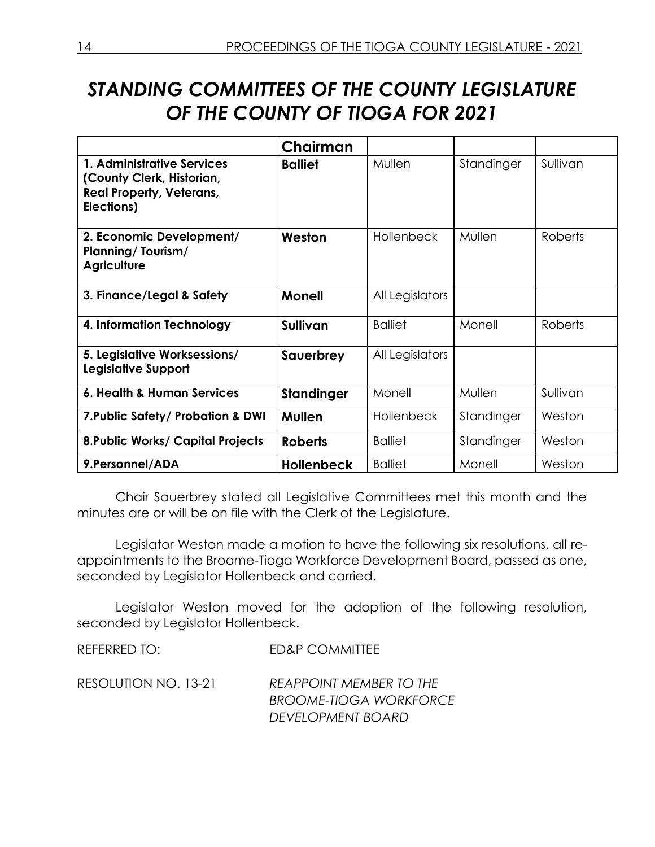# *STANDING COMMITTEES OF THE COUNTY LEGISLATURE OF THE COUNTY OF TIOGA FOR 2021*

|                                                                                                          | Chairman          |                   |            |          |
|----------------------------------------------------------------------------------------------------------|-------------------|-------------------|------------|----------|
| 1. Administrative Services<br>(County Clerk, Historian,<br><b>Real Property, Veterans,</b><br>Elections) | <b>Balliet</b>    | Mullen            | Standinger | Sullivan |
| 2. Economic Development/<br><b>Planning/Tourism/</b><br><b>Agriculture</b>                               | Weston            | <b>Hollenbeck</b> | Mullen     | Roberts  |
| 3. Finance/Legal & Safety                                                                                | <b>Monell</b>     | All Legislators   |            |          |
| 4. Information Technology                                                                                | <b>Sullivan</b>   | <b>Balliet</b>    | Monell     | Roberts  |
| 5. Legislative Worksessions/<br>Legislative Support                                                      | Sauerbrey         | All Legislators   |            |          |
| 6. Health & Human Services                                                                               | Standinger        | Monell            | Mullen     | Sullivan |
| 7. Public Safety/ Probation & DWI                                                                        | <b>Mullen</b>     | <b>Hollenbeck</b> | Standinger | Weston   |
| <b>8. Public Works/ Capital Projects</b>                                                                 | <b>Roberts</b>    | <b>Balliet</b>    | Standinger | Weston   |
| 9. Personnel/ADA                                                                                         | <b>Hollenbeck</b> | <b>Balliet</b>    | Monell     | Weston   |

Chair Sauerbrey stated all Legislative Committees met this month and the minutes are or will be on file with the Clerk of the Legislature.

Legislator Weston made a motion to have the following six resolutions, all reappointments to the Broome-Tioga Workforce Development Board, passed as one, seconded by Legislator Hollenbeck and carried.

Legislator Weston moved for the adoption of the following resolution, seconded by Legislator Hollenbeck.

REFERRED TO: ED&P COMMITTEE

RESOLUTION NO. 13-21 *REAPPOINT MEMBER TO THE BROOME-TIOGA WORKFORCE DEVELOPMENT BOARD*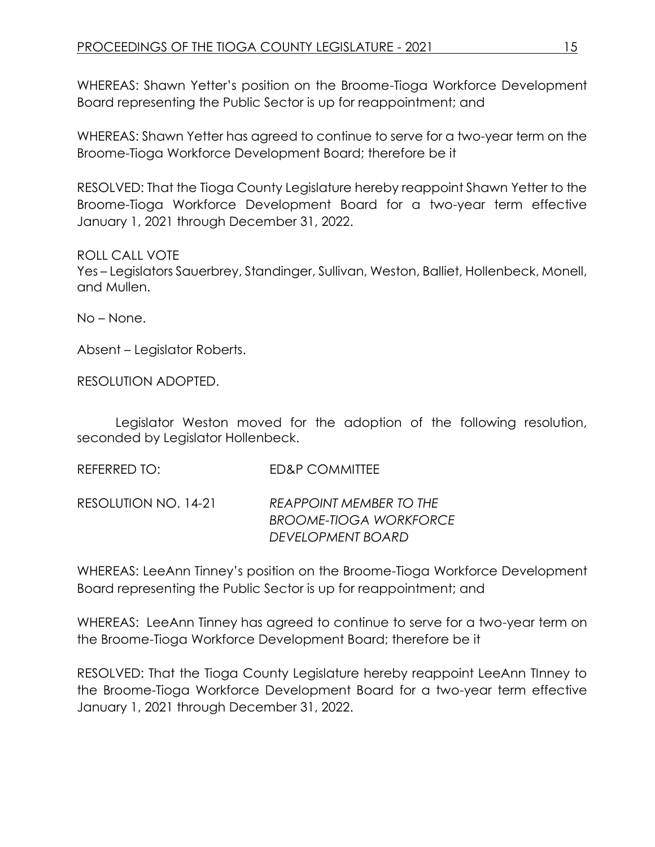WHEREAS: Shawn Yetter's position on the Broome-Tioga Workforce Development Board representing the Public Sector is up for reappointment; and

WHEREAS: Shawn Yetter has agreed to continue to serve for a two-year term on the Broome-Tioga Workforce Development Board; therefore be it

RESOLVED: That the Tioga County Legislature hereby reappoint Shawn Yetter to the Broome-Tioga Workforce Development Board for a two-year term effective January 1, 2021 through December 31, 2022.

ROLL CALL VOTE

Yes – Legislators Sauerbrey, Standinger, Sullivan, Weston, Balliet, Hollenbeck, Monell, and Mullen.

No – None.

Absent – Legislator Roberts.

RESOLUTION ADOPTED.

Legislator Weston moved for the adoption of the following resolution, seconded by Legislator Hollenbeck.

| REFERRED TO:         | ED&P COMMITTEE                                                  |
|----------------------|-----------------------------------------------------------------|
| RESOLUTION NO. 14-21 | <b>REAPPOINT MEMBER TO THE</b><br><b>BROOME-TIOGA WORKFORCE</b> |
|                      | DEVELOPMENT BOARD                                               |

WHEREAS: LeeAnn Tinney's position on the Broome-Tioga Workforce Development Board representing the Public Sector is up for reappointment; and

WHEREAS: LeeAnn Tinney has agreed to continue to serve for a two-year term on the Broome-Tioga Workforce Development Board; therefore be it

RESOLVED: That the Tioga County Legislature hereby reappoint LeeAnn TInney to the Broome-Tioga Workforce Development Board for a two-year term effective January 1, 2021 through December 31, 2022.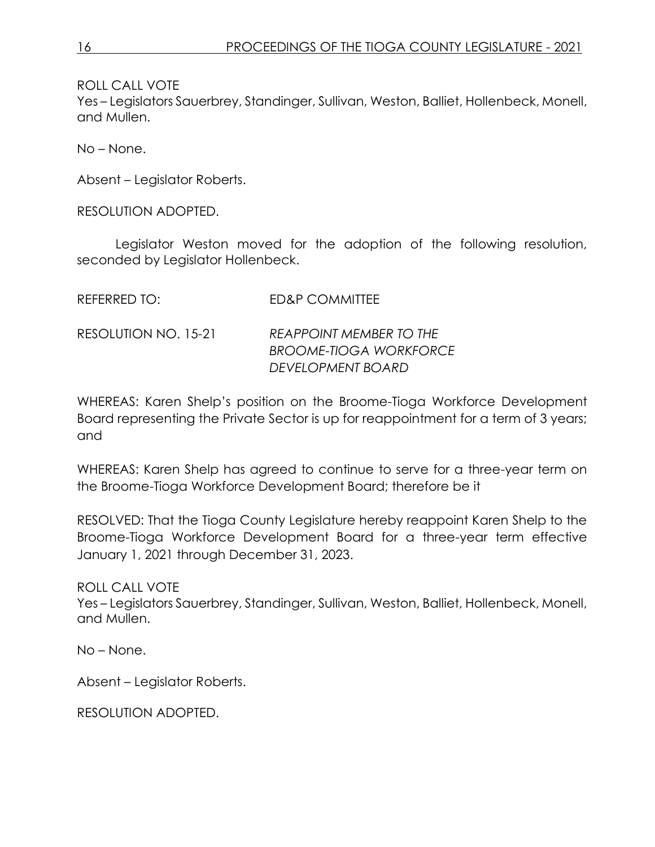ROLL CALL VOTE

Yes – Legislators Sauerbrey, Standinger, Sullivan, Weston, Balliet, Hollenbeck, Monell, and Mullen.

No – None.

Absent – Legislator Roberts.

RESOLUTION ADOPTED.

Legislator Weston moved for the adoption of the following resolution, seconded by Legislator Hollenbeck.

| REFERRED TO:         | ED&P COMMITTEE                                                                       |
|----------------------|--------------------------------------------------------------------------------------|
| RESOLUTION NO. 15-21 | <b>REAPPOINT MEMBER TO THE</b><br><b>BROOME-TIOGA WORKFORCE</b><br>DEVELOPMENT BOARD |

WHEREAS: Karen Shelp's position on the Broome-Tioga Workforce Development Board representing the Private Sector is up for reappointment for a term of 3 years; and

WHEREAS: Karen Shelp has agreed to continue to serve for a three-year term on the Broome-Tioga Workforce Development Board; therefore be it

RESOLVED: That the Tioga County Legislature hereby reappoint Karen Shelp to the Broome-Tioga Workforce Development Board for a three-year term effective January 1, 2021 through December 31, 2023.

ROLL CALL VOTE Yes – Legislators Sauerbrey, Standinger, Sullivan, Weston, Balliet, Hollenbeck, Monell, and Mullen.

No – None.

Absent – Legislator Roberts.

RESOLUTION ADOPTED.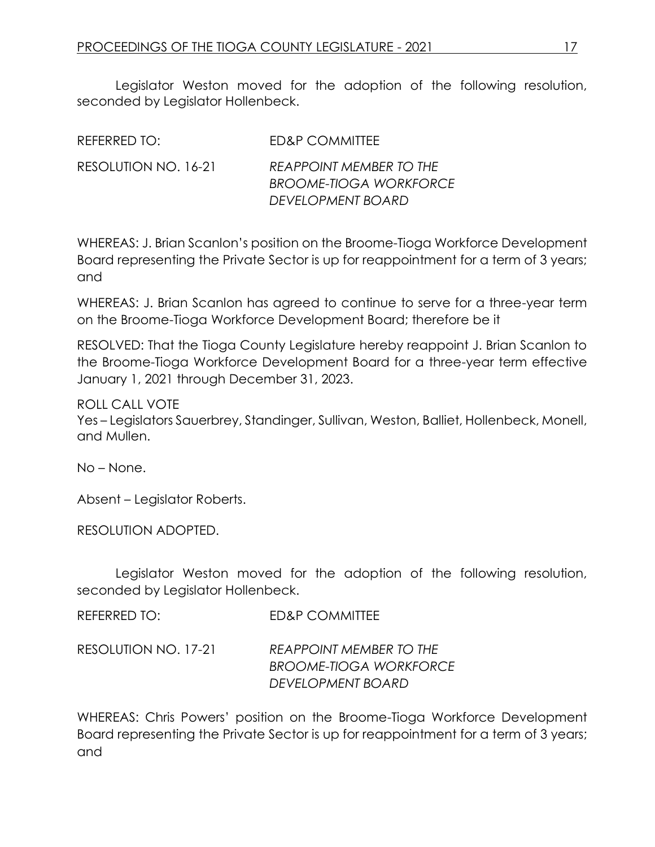Legislator Weston moved for the adoption of the following resolution, seconded by Legislator Hollenbeck.

| REFERRED TO:         | ED&P COMMITTEE                                                                       |
|----------------------|--------------------------------------------------------------------------------------|
| RESOLUTION NO. 16-21 | <b>REAPPOINT MEMBER TO THE</b><br><b>BROOME-TIOGA WORKFORCE</b><br>DEVELOPMENT BOARD |

WHEREAS: J. Brian Scanlon's position on the Broome-Tioga Workforce Development Board representing the Private Sector is up for reappointment for a term of 3 years; and

WHEREAS: J. Brian Scanlon has agreed to continue to serve for a three-year term on the Broome-Tioga Workforce Development Board; therefore be it

RESOLVED: That the Tioga County Legislature hereby reappoint J. Brian Scanlon to the Broome-Tioga Workforce Development Board for a three-year term effective January 1, 2021 through December 31, 2023.

ROLL CALL VOTE Yes – Legislators Sauerbrey, Standinger, Sullivan, Weston, Balliet, Hollenbeck, Monell, and Mullen.

No – None.

Absent – Legislator Roberts.

RESOLUTION ADOPTED.

Legislator Weston moved for the adoption of the following resolution, seconded by Legislator Hollenbeck.

REFERRED TO: FD&P COMMITTEE

RESOLUTION NO. 17-21 *REAPPOINT MEMBER TO THE BROOME-TIOGA WORKFORCE DEVELOPMENT BOARD*

WHEREAS: Chris Powers' position on the Broome-Tioga Workforce Development Board representing the Private Sector is up for reappointment for a term of 3 years; and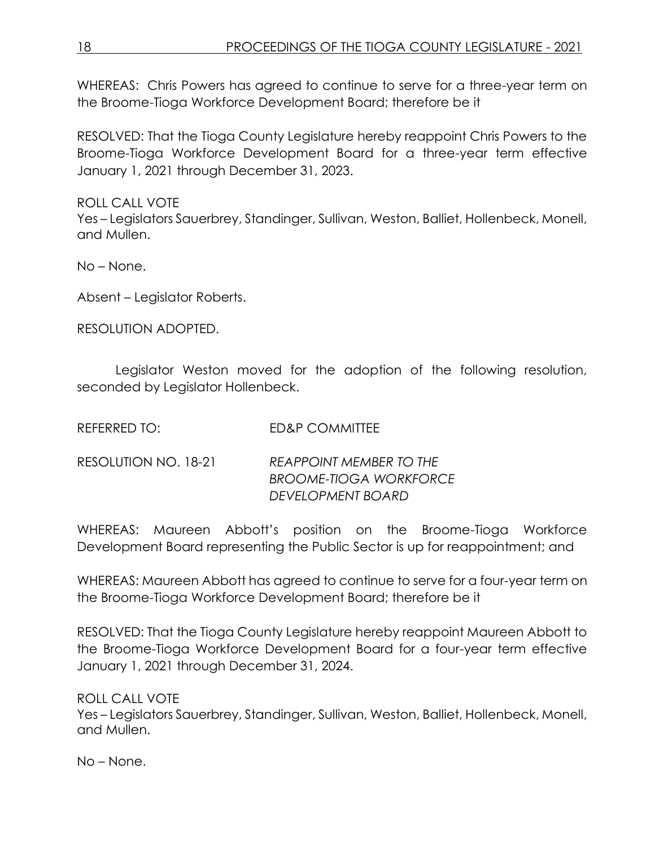WHEREAS: Chris Powers has agreed to continue to serve for a three-year term on the Broome-Tioga Workforce Development Board; therefore be it

RESOLVED: That the Tioga County Legislature hereby reappoint Chris Powers to the Broome-Tioga Workforce Development Board for a three-year term effective January 1, 2021 through December 31, 2023.

ROLL CALL VOTE

Yes – Legislators Sauerbrey, Standinger, Sullivan, Weston, Balliet, Hollenbeck, Monell, and Mullen.

No – None.

Absent – Legislator Roberts.

RESOLUTION ADOPTED.

Legislator Weston moved for the adoption of the following resolution, seconded by Legislator Hollenbeck.

| <b>REFERRED TO:</b> | <b>ED&amp;P COMMITTEE</b> |
|---------------------|---------------------------|
|                     |                           |

RESOLUTION NO. 18-21 *REAPPOINT MEMBER TO THE BROOME-TIOGA WORKFORCE DEVELOPMENT BOARD*

WHEREAS: Maureen Abbott's position on the Broome-Tioga Workforce Development Board representing the Public Sector is up for reappointment; and

WHEREAS: Maureen Abbott has agreed to continue to serve for a four-year term on the Broome-Tioga Workforce Development Board; therefore be it

RESOLVED: That the Tioga County Legislature hereby reappoint Maureen Abbott to the Broome-Tioga Workforce Development Board for a four-year term effective January 1, 2021 through December 31, 2024.

ROLL CALL VOTE

Yes – Legislators Sauerbrey, Standinger, Sullivan, Weston, Balliet, Hollenbeck, Monell, and Mullen.

No – None.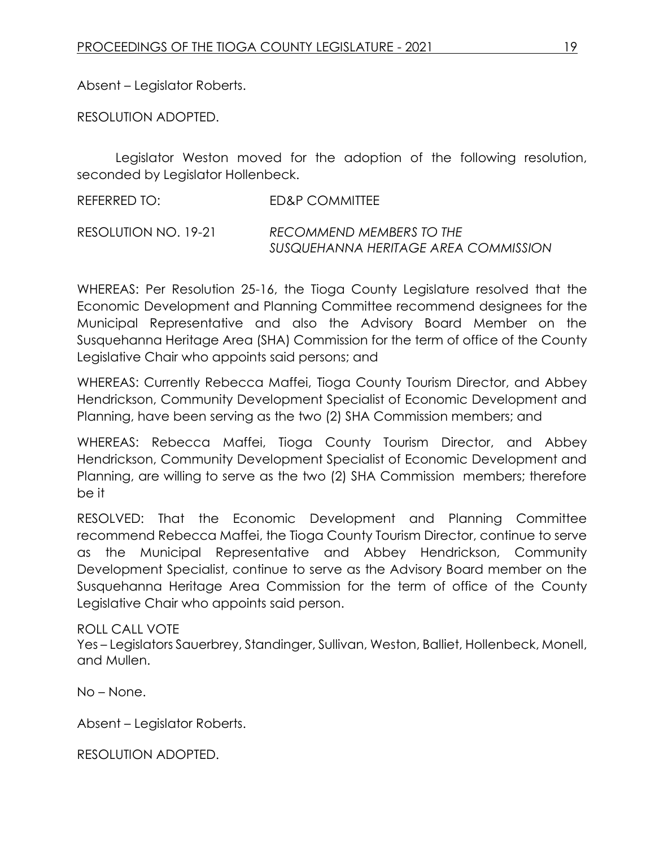Absent – Legislator Roberts.

RESOLUTION ADOPTED.

Legislator Weston moved for the adoption of the following resolution, seconded by Legislator Hollenbeck.

REFERRED TO: ED&P COMMITTEE

RESOLUTION NO. 19-21 *RECOMMEND MEMBERS TO THE SUSQUEHANNA HERITAGE AREA COMMISSION* 

WHEREAS: Per Resolution 25-16, the Tioga County Legislature resolved that the Economic Development and Planning Committee recommend designees for the Municipal Representative and also the Advisory Board Member on the Susquehanna Heritage Area (SHA) Commission for the term of office of the County Legislative Chair who appoints said persons; and

WHEREAS: Currently Rebecca Maffei, Tioga County Tourism Director, and Abbey Hendrickson, Community Development Specialist of Economic Development and Planning, have been serving as the two (2) SHA Commission members; and

WHEREAS: Rebecca Maffei, Tioga County Tourism Director, and Abbey Hendrickson, Community Development Specialist of Economic Development and Planning, are willing to serve as the two (2) SHA Commission members; therefore be it

RESOLVED: That the Economic Development and Planning Committee recommend Rebecca Maffei, the Tioga County Tourism Director, continue to serve as the Municipal Representative and Abbey Hendrickson, Community Development Specialist, continue to serve as the Advisory Board member on the Susquehanna Heritage Area Commission for the term of office of the County Legislative Chair who appoints said person.

#### ROLL CALL VOTE

Yes – Legislators Sauerbrey, Standinger, Sullivan, Weston, Balliet, Hollenbeck, Monell, and Mullen.

No – None.

Absent – Legislator Roberts.

RESOLUTION ADOPTED.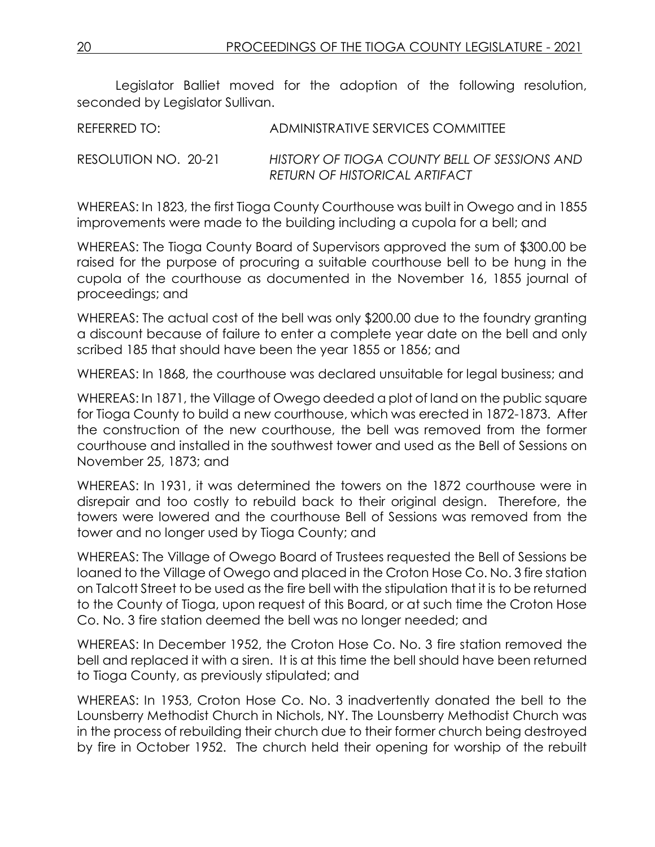Legislator Balliet moved for the adoption of the following resolution, seconded by Legislator Sullivan.

REFERRED TO: ADMINISTRATIVE SERVICES COMMITTEE

RESOLUTION NO. 20-21 *HISTORY OF TIOGA COUNTY BELL OF SESSIONS AND RETURN OF HISTORICAL ARTIFACT*

WHEREAS: In 1823, the first Tioga County Courthouse was built in Owego and in 1855 improvements were made to the building including a cupola for a bell; and

WHEREAS: The Tioga County Board of Supervisors approved the sum of \$300.00 be raised for the purpose of procuring a suitable courthouse bell to be hung in the cupola of the courthouse as documented in the November 16, 1855 journal of proceedings; and

WHEREAS: The actual cost of the bell was only \$200.00 due to the foundry granting a discount because of failure to enter a complete year date on the bell and only scribed 185 that should have been the year 1855 or 1856; and

WHEREAS: In 1868, the courthouse was declared unsuitable for legal business; and

WHEREAS: In 1871, the Village of Owego deeded a plot of land on the public square for Tioga County to build a new courthouse, which was erected in 1872-1873. After the construction of the new courthouse, the bell was removed from the former courthouse and installed in the southwest tower and used as the Bell of Sessions on November 25, 1873; and

WHEREAS: In 1931, it was determined the towers on the 1872 courthouse were in disrepair and too costly to rebuild back to their original design. Therefore, the towers were lowered and the courthouse Bell of Sessions was removed from the tower and no longer used by Tioga County; and

WHEREAS: The Village of Owego Board of Trustees requested the Bell of Sessions be loaned to the Village of Owego and placed in the Croton Hose Co. No. 3 fire station on Talcott Street to be used as the fire bell with the stipulation that it is to be returned to the County of Tioga, upon request of this Board, or at such time the Croton Hose Co. No. 3 fire station deemed the bell was no longer needed; and

WHEREAS: In December 1952, the Croton Hose Co. No. 3 fire station removed the bell and replaced it with a siren. It is at this time the bell should have been returned to Tioga County, as previously stipulated; and

WHEREAS: In 1953, Croton Hose Co. No. 3 inadvertently donated the bell to the Lounsberry Methodist Church in Nichols, NY. The Lounsberry Methodist Church was in the process of rebuilding their church due to their former church being destroyed by fire in October 1952. The church held their opening for worship of the rebuilt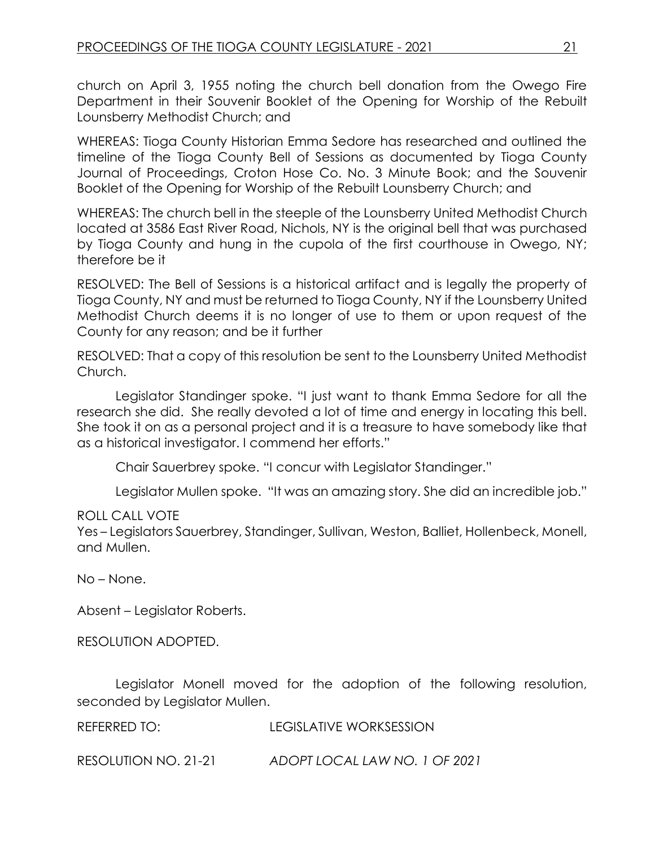church on April 3, 1955 noting the church bell donation from the Owego Fire Department in their Souvenir Booklet of the Opening for Worship of the Rebuilt Lounsberry Methodist Church; and

WHEREAS: Tioga County Historian Emma Sedore has researched and outlined the timeline of the Tioga County Bell of Sessions as documented by Tioga County Journal of Proceedings, Croton Hose Co. No. 3 Minute Book; and the Souvenir Booklet of the Opening for Worship of the Rebuilt Lounsberry Church; and

WHEREAS: The church bell in the steeple of the Lounsberry United Methodist Church located at 3586 East River Road, Nichols, NY is the original bell that was purchased by Tioga County and hung in the cupola of the first courthouse in Owego, NY; therefore be it

RESOLVED: The Bell of Sessions is a historical artifact and is legally the property of Tioga County, NY and must be returned to Tioga County, NY if the Lounsberry United Methodist Church deems it is no longer of use to them or upon request of the County for any reason; and be it further

RESOLVED: That a copy of this resolution be sent to the Lounsberry United Methodist Church.

Legislator Standinger spoke. "I just want to thank Emma Sedore for all the research she did. She really devoted a lot of time and energy in locating this bell. She took it on as a personal project and it is a treasure to have somebody like that as a historical investigator. I commend her efforts."

Chair Sauerbrey spoke. "I concur with Legislator Standinger."

Legislator Mullen spoke. "It was an amazing story. She did an incredible job."

# ROLL CALL VOTE

Yes – Legislators Sauerbrey, Standinger, Sullivan, Weston, Balliet, Hollenbeck, Monell, and Mullen.

No – None.

Absent – Legislator Roberts.

RESOLUTION ADOPTED.

Legislator Monell moved for the adoption of the following resolution, seconded by Legislator Mullen.

REFERRED TO: LEGISLATIVE WORKSESSION

RESOLUTION NO. 21-21 *ADOPT LOCAL LAW NO. 1 OF 2021*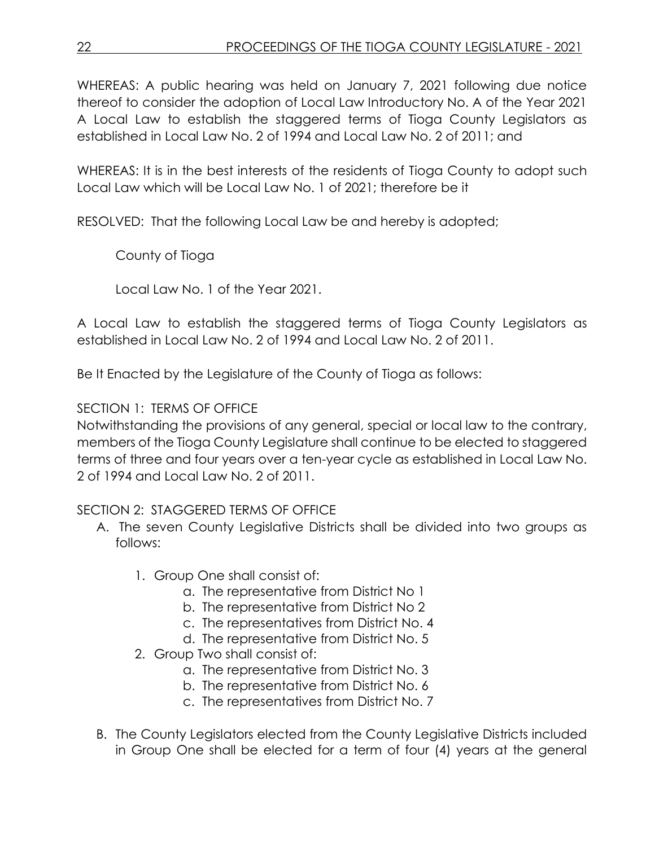WHEREAS: A public hearing was held on January 7, 2021 following due notice thereof to consider the adoption of Local Law Introductory No. A of the Year 2021 A Local Law to establish the staggered terms of Tioga County Legislators as established in Local Law No. 2 of 1994 and Local Law No. 2 of 2011; and

WHEREAS: It is in the best interests of the residents of Tioga County to adopt such Local Law which will be Local Law No. 1 of 2021; therefore be it

RESOLVED: That the following Local Law be and hereby is adopted;

County of Tioga

Local Law No. 1 of the Year 2021.

A Local Law to establish the staggered terms of Tioga County Legislators as established in Local Law No. 2 of 1994 and Local Law No. 2 of 2011.

Be It Enacted by the Legislature of the County of Tioga as follows:

# SECTION 1: TERMS OF OFFICE

Notwithstanding the provisions of any general, special or local law to the contrary, members of the Tioga County Legislature shall continue to be elected to staggered terms of three and four years over a ten-year cycle as established in Local Law No. 2 of 1994 and Local Law No. 2 of 2011.

# SECTION 2: STAGGERED TERMS OF OFFICE

- A. The seven County Legislative Districts shall be divided into two groups as follows:
	- 1. Group One shall consist of:
		- a. The representative from District No 1
		- b. The representative from District No 2
		- c. The representatives from District No. 4
		- d. The representative from District No. 5
	- 2. Group Two shall consist of:
		- a. The representative from District No. 3
		- b. The representative from District No. 6
		- c. The representatives from District No. 7
- B. The County Legislators elected from the County Legislative Districts included in Group One shall be elected for a term of four (4) years at the general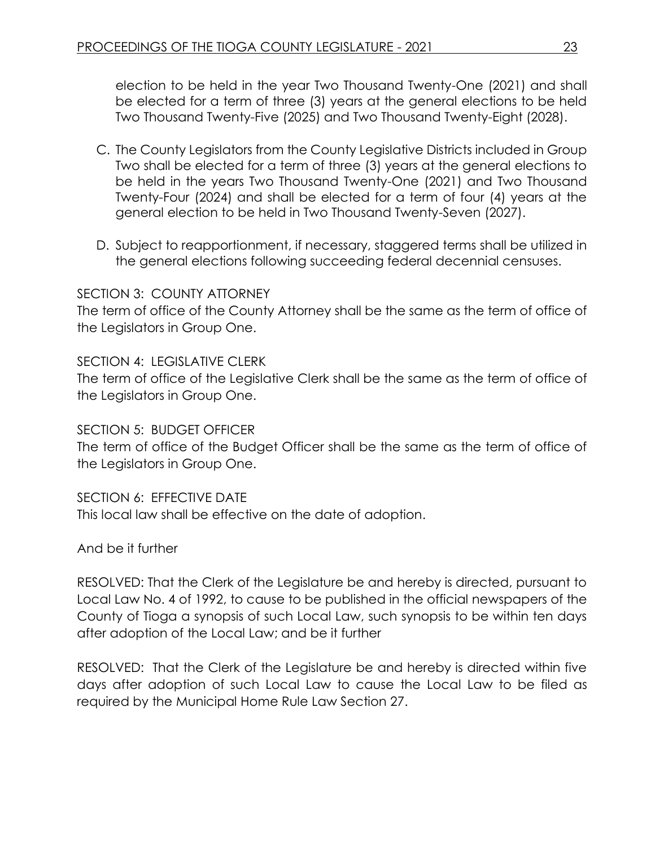election to be held in the year Two Thousand Twenty-One (2021) and shall be elected for a term of three (3) years at the general elections to be held Two Thousand Twenty-Five (2025) and Two Thousand Twenty-Eight (2028).

- C. The County Legislators from the County Legislative Districts included in Group Two shall be elected for a term of three (3) years at the general elections to be held in the years Two Thousand Twenty-One (2021) and Two Thousand Twenty-Four (2024) and shall be elected for a term of four (4) years at the general election to be held in Two Thousand Twenty-Seven (2027).
- D. Subject to reapportionment, if necessary, staggered terms shall be utilized in the general elections following succeeding federal decennial censuses.

# SECTION 3: COUNTY ATTORNEY

The term of office of the County Attorney shall be the same as the term of office of the Legislators in Group One.

SECTION 4: LEGISLATIVE CLERK

The term of office of the Legislative Clerk shall be the same as the term of office of the Legislators in Group One.

SECTION 5: BUDGET OFFICER

The term of office of the Budget Officer shall be the same as the term of office of the Legislators in Group One.

SECTION 6: EFFECTIVE DATE This local law shall be effective on the date of adoption.

And be it further

RESOLVED: That the Clerk of the Legislature be and hereby is directed, pursuant to Local Law No. 4 of 1992, to cause to be published in the official newspapers of the County of Tioga a synopsis of such Local Law, such synopsis to be within ten days after adoption of the Local Law; and be it further

RESOLVED: That the Clerk of the Legislature be and hereby is directed within five days after adoption of such Local Law to cause the Local Law to be filed as required by the Municipal Home Rule Law Section 27.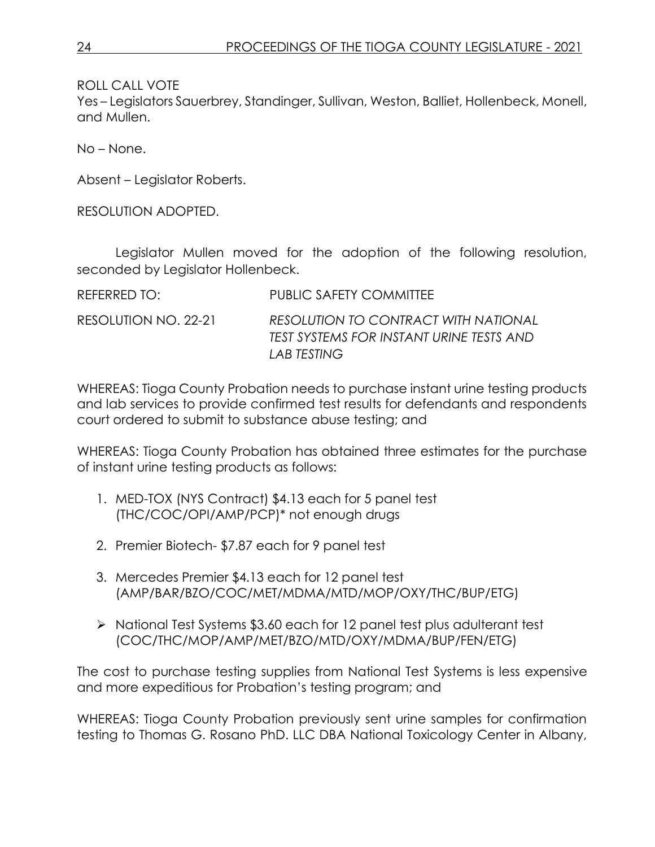ROLL CALL VOTE

Yes – Legislators Sauerbrey, Standinger, Sullivan, Weston, Balliet, Hollenbeck, Monell, and Mullen.

No – None.

Absent – Legislator Roberts.

RESOLUTION ADOPTED.

Legislator Mullen moved for the adoption of the following resolution, seconded by Legislator Hollenbeck.

REFERRED TO: PUBLIC SAFETY COMMITTEE RESOLUTION NO. 22-21 *RESOLUTION TO CONTRACT WITH NATIONAL TEST SYSTEMS FOR INSTANT URINE TESTS AND LAB TESTING*

WHEREAS: Tioga County Probation needs to purchase instant urine testing products and lab services to provide confirmed test results for defendants and respondents court ordered to submit to substance abuse testing; and

WHEREAS: Tioga County Probation has obtained three estimates for the purchase of instant urine testing products as follows:

- 1. MED-TOX (NYS Contract) \$4.13 each for 5 panel test (THC/COC/OPI/AMP/PCP)\* not enough drugs
- 2. Premier Biotech- \$7.87 each for 9 panel test
- 3. Mercedes Premier \$4.13 each for 12 panel test (AMP/BAR/BZO/COC/MET/MDMA/MTD/MOP/OXY/THC/BUP/ETG)
- ▶ National Test Systems \$3.60 each for 12 panel test plus adulterant test (COC/THC/MOP/AMP/MET/BZO/MTD/OXY/MDMA/BUP/FEN/ETG)

The cost to purchase testing supplies from National Test Systems is less expensive and more expeditious for Probation's testing program; and

WHEREAS: Tioga County Probation previously sent urine samples for confirmation testing to Thomas G. Rosano PhD. LLC DBA National Toxicology Center in Albany,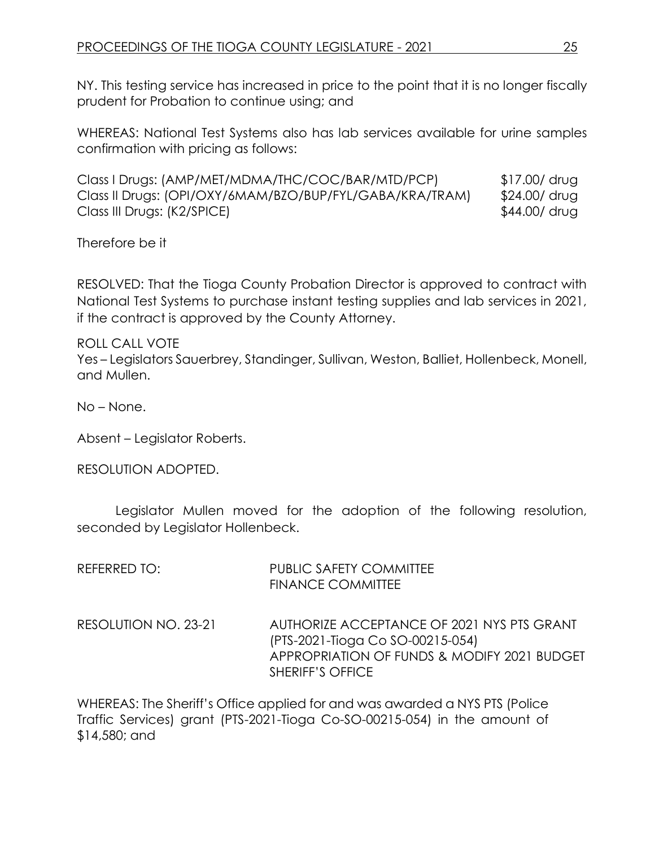NY. This testing service has increased in price to the point that it is no longer fiscally prudent for Probation to continue using; and

WHEREAS: National Test Systems also has lab services available for urine samples confirmation with pricing as follows:

Class I Drugs: (AMP/MET/MDMA/THC/COC/BAR/MTD/PCP) \$17.00/ drug Class II Drugs: (OPI/OXY/6MAM/BZO/BUP/FYL/GABA/KRA/TRAM) \$24.00/ drug Class III Drugs: (K2/SPICE)  $$44.00/$  drug

Therefore be it

RESOLVED: That the Tioga County Probation Director is approved to contract with National Test Systems to purchase instant testing supplies and lab services in 2021, if the contract is approved by the County Attorney.

ROLL CALL VOTE Yes – Legislators Sauerbrey, Standinger, Sullivan, Weston, Balliet, Hollenbeck, Monell, and Mullen.

No – None.

Absent – Legislator Roberts.

RESOLUTION ADOPTED.

Legislator Mullen moved for the adoption of the following resolution, seconded by Legislator Hollenbeck.

| REFERRED TO:         | <b>PUBLIC SAFETY COMMITTEE</b><br><b>FINANCE COMMITTEE</b>                                                                                               |
|----------------------|----------------------------------------------------------------------------------------------------------------------------------------------------------|
| RESOLUTION NO. 23-21 | AUTHORIZE ACCEPTANCE OF 2021 NYS PTS GRANT<br>(PTS-2021-Tioga Co SO-00215-054)<br>APPROPRIATION OF FUNDS & MODIFY 2021 BUDGET<br><b>SHERIFF'S OFFICE</b> |

WHEREAS: The Sheriff's Office applied for and was awarded a NYS PTS (Police Traffic Services) grant (PTS-2021-Tioga Co-SO-00215-054) in the amount of \$14,580; and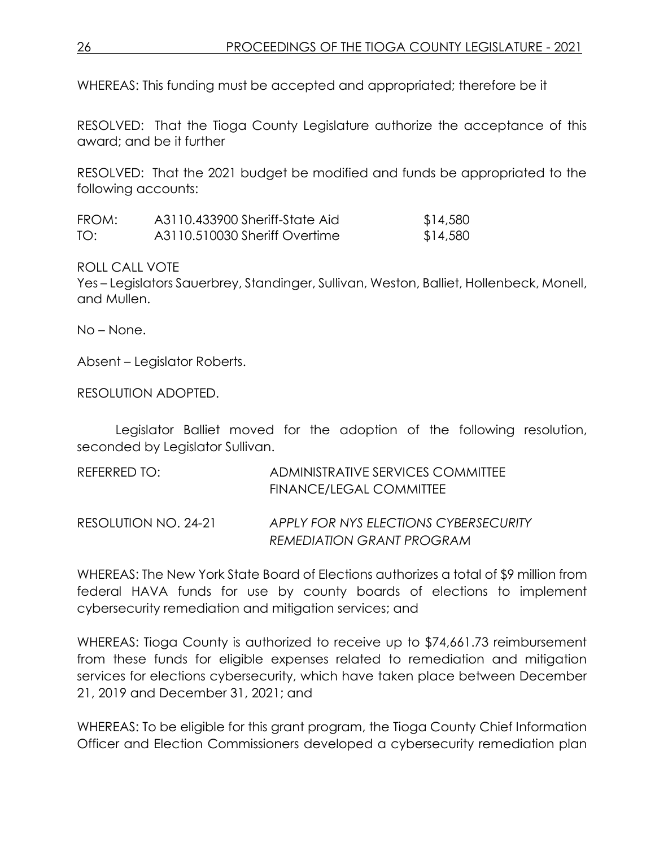WHEREAS: This funding must be accepted and appropriated; therefore be it

RESOLVED: That the Tioga County Legislature authorize the acceptance of this award; and be it further

RESOLVED: That the 2021 budget be modified and funds be appropriated to the following accounts:

| FROM: | A3110.433900 Sheriff-State Aid | \$14,580 |
|-------|--------------------------------|----------|
| TO:   | A3110.510030 Sheriff Overtime  | \$14,580 |

ROLL CALL VOTE

Yes – Legislators Sauerbrey, Standinger, Sullivan, Weston, Balliet, Hollenbeck, Monell, and Mullen.

No – None.

Absent – Legislator Roberts.

RESOLUTION ADOPTED.

Legislator Balliet moved for the adoption of the following resolution, seconded by Legislator Sullivan.

| REFERRED TO:         | ADMINISTRATIVE SERVICES COMMITTEE<br>FINANCE/LEGAL COMMITTEE              |
|----------------------|---------------------------------------------------------------------------|
| RESOLUTION NO. 24-21 | APPLY FOR NYS ELECTIONS CYBERSECURITY<br><b>REMEDIATION GRANT PROGRAM</b> |

WHEREAS: The New York State Board of Elections authorizes a total of \$9 million from federal HAVA funds for use by county boards of elections to implement cybersecurity remediation and mitigation services; and

WHEREAS: Tioga County is authorized to receive up to \$74,661.73 reimbursement from these funds for eligible expenses related to remediation and mitigation services for elections cybersecurity, which have taken place between December 21, 2019 and December 31, 2021; and

WHEREAS: To be eligible for this grant program, the Tioga County Chief Information Officer and Election Commissioners developed a cybersecurity remediation plan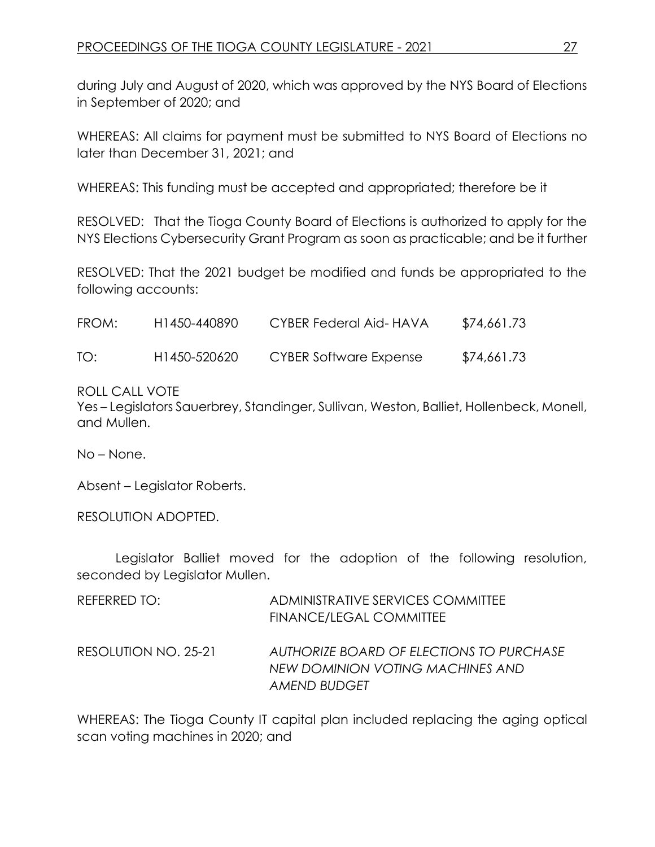during July and August of 2020, which was approved by the NYS Board of Elections in September of 2020; and

WHEREAS: All claims for payment must be submitted to NYS Board of Elections no later than December 31, 2021; and

WHEREAS: This funding must be accepted and appropriated; therefore be it

RESOLVED: That the Tioga County Board of Elections is authorized to apply for the NYS Elections Cybersecurity Grant Program as soon as practicable; and be it further

RESOLVED: That the 2021 budget be modified and funds be appropriated to the following accounts:

| FROM: | H <sub>1450</sub> -440890 | CYBER Federal Aid-HAVA | \$74,661.73 |
|-------|---------------------------|------------------------|-------------|
| TO:   | H1450-520620              | CYBER Software Expense | \$74,661.73 |

# ROLL CALL VOTE

Yes – Legislators Sauerbrey, Standinger, Sullivan, Weston, Balliet, Hollenbeck, Monell, and Mullen.

No – None.

Absent – Legislator Roberts.

RESOLUTION ADOPTED.

Legislator Balliet moved for the adoption of the following resolution, seconded by Legislator Mullen.

| REFERRED TO:         | ADMINISTRATIVE SERVICES COMMITTEE<br><b>FINANCE/LEGAL COMMITTEE</b>                          |
|----------------------|----------------------------------------------------------------------------------------------|
| RESOLUTION NO. 25-21 | AUTHORIZE BOARD OF ELECTIONS TO PURCHASE<br>NEW DOMINION VOTING MACHINES AND<br>AMEND BUDGET |

WHEREAS: The Tioga County IT capital plan included replacing the aging optical scan voting machines in 2020; and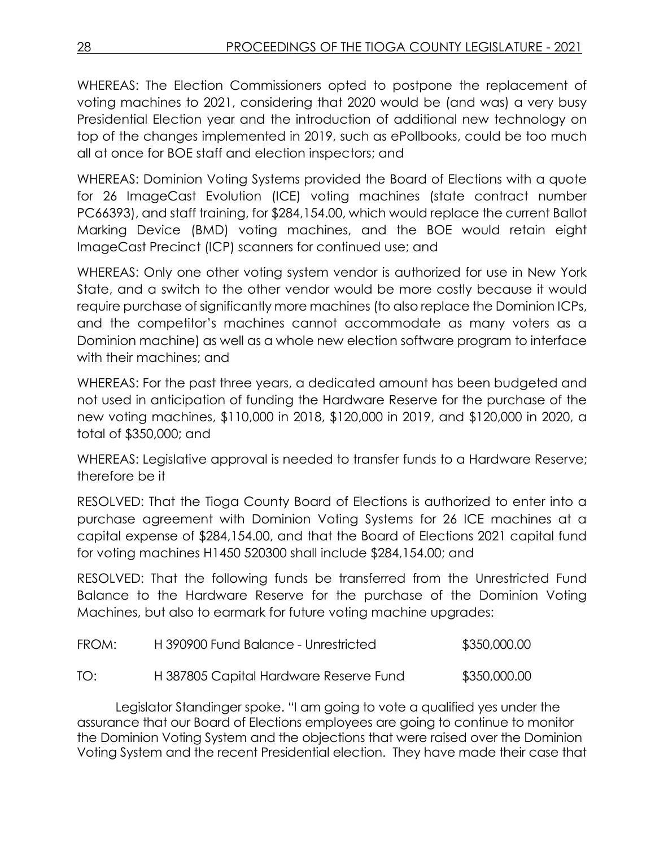WHEREAS: The Election Commissioners opted to postpone the replacement of voting machines to 2021, considering that 2020 would be (and was) a very busy Presidential Election year and the introduction of additional new technology on top of the changes implemented in 2019, such as ePollbooks, could be too much all at once for BOE staff and election inspectors; and

WHEREAS: Dominion Voting Systems provided the Board of Elections with a quote for 26 ImageCast Evolution (ICE) voting machines (state contract number PC66393), and staff training, for \$284,154.00, which would replace the current Ballot Marking Device (BMD) voting machines, and the BOE would retain eight ImageCast Precinct (ICP) scanners for continued use; and

WHEREAS: Only one other voting system vendor is authorized for use in New York State, and a switch to the other vendor would be more costly because it would require purchase of significantly more machines (to also replace the Dominion ICPs, and the competitor's machines cannot accommodate as many voters as a Dominion machine) as well as a whole new election software program to interface with their machines; and

WHEREAS: For the past three years, a dedicated amount has been budgeted and not used in anticipation of funding the Hardware Reserve for the purchase of the new voting machines, \$110,000 in 2018, \$120,000 in 2019, and \$120,000 in 2020, a total of \$350,000; and

WHEREAS: Legislative approval is needed to transfer funds to a Hardware Reserve; therefore be it

RESOLVED: That the Tioga County Board of Elections is authorized to enter into a purchase agreement with Dominion Voting Systems for 26 ICE machines at a capital expense of \$284,154.00, and that the Board of Elections 2021 capital fund for voting machines H1450 520300 shall include \$284,154.00; and

RESOLVED: That the following funds be transferred from the Unrestricted Fund Balance to the Hardware Reserve for the purchase of the Dominion Voting Machines, but also to earmark for future voting machine upgrades:

| FROM: | H390900 Fund Balance - Unrestricted    | \$350,000.00 |
|-------|----------------------------------------|--------------|
| TO:   | H 387805 Capital Hardware Reserve Fund | \$350,000.00 |

Legislator Standinger spoke. "I am going to vote a qualified yes under the assurance that our Board of Elections employees are going to continue to monitor the Dominion Voting System and the objections that were raised over the Dominion Voting System and the recent Presidential election. They have made their case that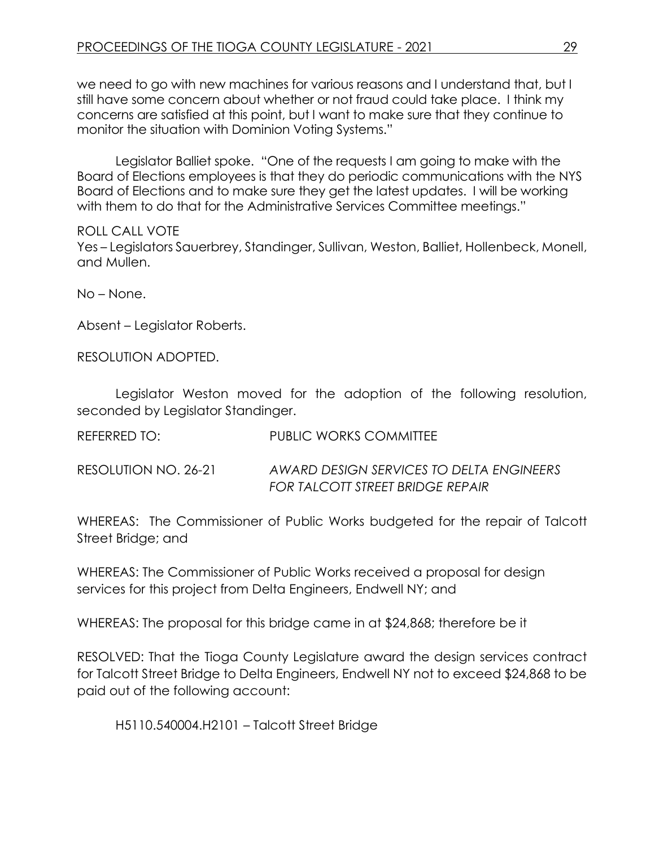we need to go with new machines for various reasons and I understand that, but I still have some concern about whether or not fraud could take place. I think my concerns are satisfied at this point, but I want to make sure that they continue to monitor the situation with Dominion Voting Systems."

Legislator Balliet spoke. "One of the requests I am going to make with the Board of Elections employees is that they do periodic communications with the NYS Board of Elections and to make sure they get the latest updates. I will be working with them to do that for the Administrative Services Committee meetings."

#### ROLL CALL VOTE

Yes – Legislators Sauerbrey, Standinger, Sullivan, Weston, Balliet, Hollenbeck, Monell, and Mullen.

No – None.

Absent – Legislator Roberts.

RESOLUTION ADOPTED.

Legislator Weston moved for the adoption of the following resolution, seconded by Legislator Standinger.

| REFERRED TO:         | <b>PUBLIC WORKS COMMITTEE</b>                                                |
|----------------------|------------------------------------------------------------------------------|
| RESOLUTION NO. 26-21 | AWARD DESIGN SERVICES TO DELTA ENGINEERS<br>FOR TALCOTT STREET BRIDGE REPAIR |

WHEREAS: The Commissioner of Public Works budgeted for the repair of Talcott Street Bridge; and

WHEREAS: The Commissioner of Public Works received a proposal for design services for this project from Delta Engineers, Endwell NY; and

WHEREAS: The proposal for this bridge came in at \$24,868; therefore be it

RESOLVED: That the Tioga County Legislature award the design services contract for Talcott Street Bridge to Delta Engineers, Endwell NY not to exceed \$24,868 to be paid out of the following account:

H5110.540004.H2101 – Talcott Street Bridge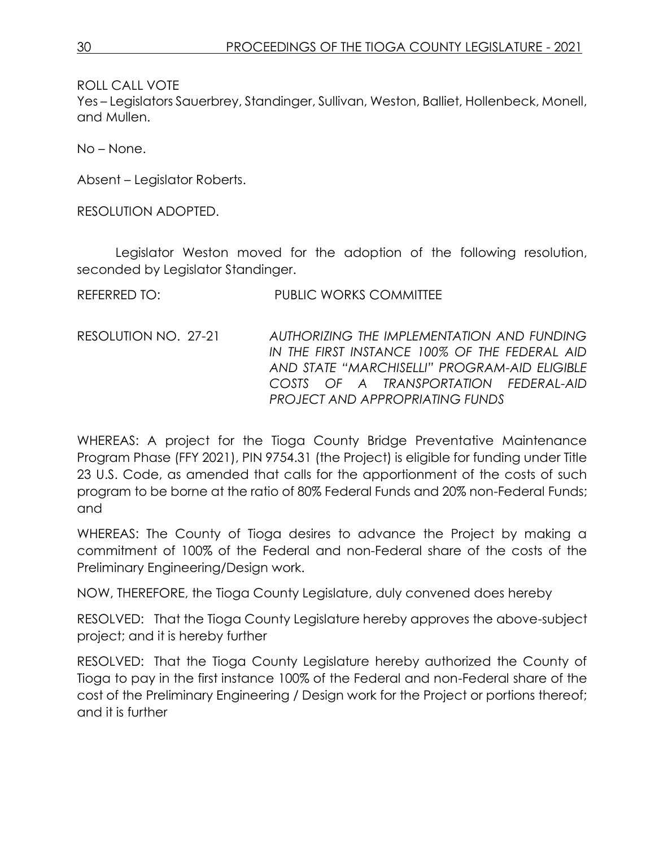ROLL CALL VOTE

Yes – Legislators Sauerbrey, Standinger, Sullivan, Weston, Balliet, Hollenbeck, Monell, and Mullen.

No – None.

Absent – Legislator Roberts.

RESOLUTION ADOPTED.

Legislator Weston moved for the adoption of the following resolution, seconded by Legislator Standinger.

| REFERRED TO: | <b>PUBLIC WORKS COMMITTEE</b> |
|--------------|-------------------------------|
|              |                               |

RESOLUTION NO. 27-21 *AUTHORIZING THE IMPLEMENTATION AND FUNDING IN THE FIRST INSTANCE 100% OF THE FEDERAL AID AND STATE "MARCHISELLI" PROGRAM-AID ELIGIBLE COSTS OF A TRANSPORTATION FEDERAL-AID PROJECT AND APPROPRIATING FUNDS*

WHEREAS: A project for the Tioga County Bridge Preventative Maintenance Program Phase (FFY 2021), PIN 9754.31 (the Project) is eligible for funding under Title 23 U.S. Code, as amended that calls for the apportionment of the costs of such program to be borne at the ratio of 80% Federal Funds and 20% non-Federal Funds; and

WHEREAS: The County of Tioga desires to advance the Project by making a commitment of 100% of the Federal and non-Federal share of the costs of the Preliminary Engineering/Design work.

NOW, THEREFORE, the Tioga County Legislature, duly convened does hereby

RESOLVED: That the Tioga County Legislature hereby approves the above-subject project; and it is hereby further

RESOLVED: That the Tioga County Legislature hereby authorized the County of Tioga to pay in the first instance 100% of the Federal and non-Federal share of the cost of the Preliminary Engineering / Design work for the Project or portions thereof; and it is further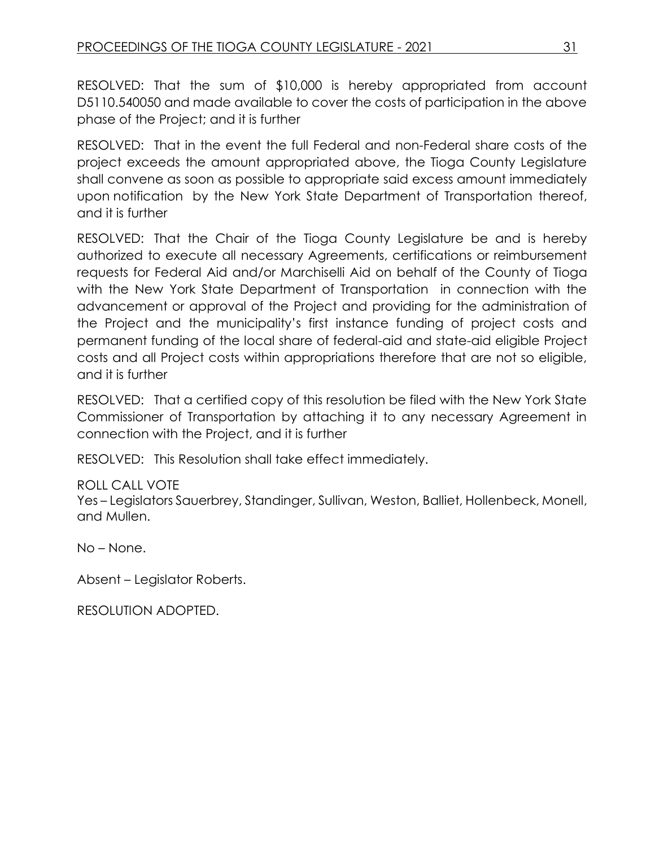RESOLVED: That the sum of \$10,000 is hereby appropriated from account D5110.540050 and made available to cover the costs of participation in the above phase of the Project; and it is further

RESOLVED: That in the event the full Federal and non-Federal share costs of the project exceeds the amount appropriated above, the Tioga County Legislature shall convene as soon as possible to appropriate said excess amount immediately upon notification by the New York State Department of Transportation thereof, and it is further

RESOLVED: That the Chair of the Tioga County Legislature be and is hereby authorized to execute all necessary Agreements, certifications or reimbursement requests for Federal Aid and/or Marchiselli Aid on behalf of the County of Tioga with the New York State Department of Transportation in connection with the advancement or approval of the Project and providing for the administration of the Project and the municipality's first instance funding of project costs and permanent funding of the local share of federal-aid and state-aid eligible Project costs and all Project costs within appropriations therefore that are not so eligible, and it is further

RESOLVED: That a certified copy of this resolution be filed with the New York State Commissioner of Transportation by attaching it to any necessary Agreement in connection with the Project, and it is further

RESOLVED: This Resolution shall take effect immediately.

# ROLL CALL VOTE

Yes – Legislators Sauerbrey, Standinger, Sullivan, Weston, Balliet, Hollenbeck, Monell, and Mullen.

No – None.

Absent – Legislator Roberts.

RESOLUTION ADOPTED.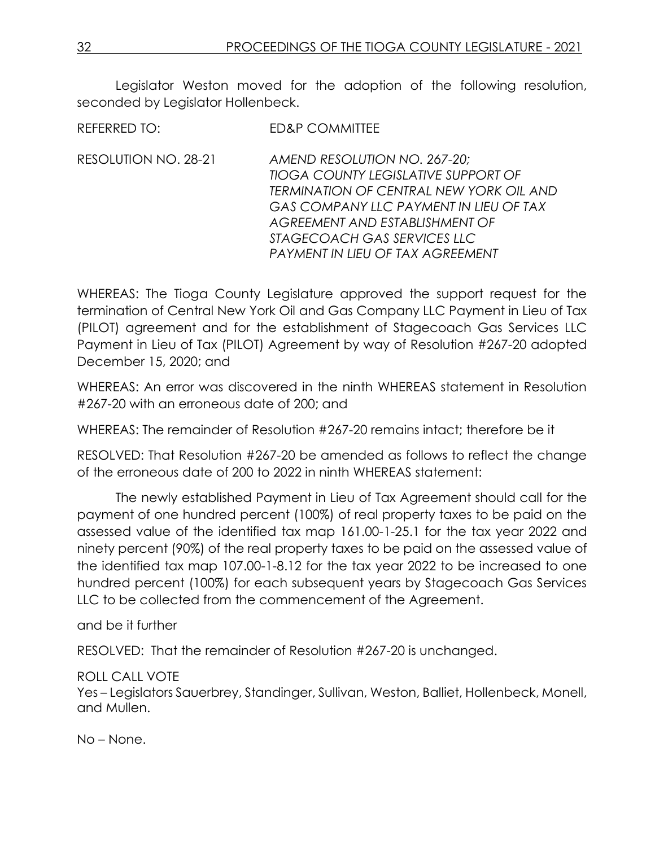Legislator Weston moved for the adoption of the following resolution, seconded by Legislator Hollenbeck.

REFERRED TO: ED&P COMMITTEE

RESOLUTION NO. 28-21 *AMEND RESOLUTION NO. 267-20; TIOGA COUNTY LEGISLATIVE SUPPORT OF TERMINATION OF CENTRAL NEW YORK OIL AND GAS COMPANY LLC PAYMENT IN LIEU OF TAX AGREEMENT AND ESTABLISHMENT OF STAGECOACH GAS SERVICES LLC PAYMENT IN LIEU OF TAX AGREEMENT*

WHEREAS: The Tioga County Legislature approved the support request for the termination of Central New York Oil and Gas Company LLC Payment in Lieu of Tax (PILOT) agreement and for the establishment of Stagecoach Gas Services LLC Payment in Lieu of Tax (PILOT) Agreement by way of Resolution #267-20 adopted December 15, 2020; and

WHEREAS: An error was discovered in the ninth WHEREAS statement in Resolution #267-20 with an erroneous date of 200; and

WHEREAS: The remainder of Resolution #267-20 remains intact; therefore be it

RESOLVED: That Resolution #267-20 be amended as follows to reflect the change of the erroneous date of 200 to 2022 in ninth WHEREAS statement:

The newly established Payment in Lieu of Tax Agreement should call for the payment of one hundred percent (100%) of real property taxes to be paid on the assessed value of the identified tax map 161.00-1-25.1 for the tax year 2022 and ninety percent (90%) of the real property taxes to be paid on the assessed value of the identified tax map 107.00-1-8.12 for the tax year 2022 to be increased to one hundred percent (100%) for each subsequent years by Stagecoach Gas Services LLC to be collected from the commencement of the Agreement.

and be it further

RESOLVED: That the remainder of Resolution #267-20 is unchanged.

# ROLL CALL VOTE

Yes – Legislators Sauerbrey, Standinger, Sullivan, Weston, Balliet, Hollenbeck, Monell, and Mullen.

No – None.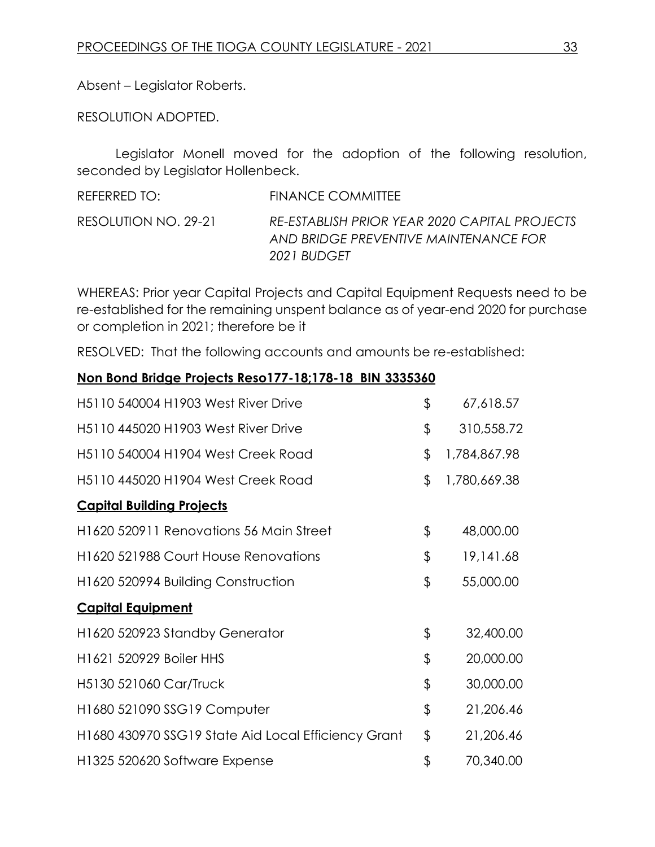Absent – Legislator Roberts.

RESOLUTION ADOPTED.

Legislator Monell moved for the adoption of the following resolution, seconded by Legislator Hollenbeck.

| REFERRED TO:         | FINANCE COMMITTEE                                                                                     |
|----------------------|-------------------------------------------------------------------------------------------------------|
| RESOLUTION NO. 29-21 | RE-ESTABLISH PRIOR YEAR 2020 CAPITAL PROJECTS<br>AND BRIDGE PREVENTIVE MAINTENANCE FOR<br>2021 BUDGET |

WHEREAS: Prior year Capital Projects and Capital Equipment Requests need to be re-established for the remaining unspent balance as of year-end 2020 for purchase or completion in 2021; therefore be it

RESOLVED: That the following accounts and amounts be re-established:

# **Non Bond Bridge Projects Reso177-18;178-18 BIN 3335360**

| H5110 540004 H1903 West River Drive                 | \$<br>67,618.57    |
|-----------------------------------------------------|--------------------|
| H5110 445020 H1903 West River Drive                 | \$<br>310,558.72   |
| H5110 540004 H1904 West Creek Road                  | \$<br>1,784,867.98 |
| H5110 445020 H1904 West Creek Road                  | \$<br>1,780,669.38 |
| <b>Capital Building Projects</b>                    |                    |
| H1620 520911 Renovations 56 Main Street             | \$<br>48,000.00    |
| H1620 521988 Court House Renovations                | \$<br>19,141.68    |
| H1620 520994 Building Construction                  | \$<br>55,000.00    |
| <b>Capital Equipment</b>                            |                    |
| H1620 520923 Standby Generator                      | \$<br>32,400.00    |
| H1621 520929 Boiler HHS                             | \$<br>20,000.00    |
| H5130 521060 Car/Truck                              | \$<br>30,000.00    |
| H1680 521090 SSG19 Computer                         | \$<br>21,206.46    |
| H1680 430970 SSG19 State Aid Local Efficiency Grant | \$<br>21,206.46    |
| H1325 520620 Software Expense                       | \$<br>70,340.00    |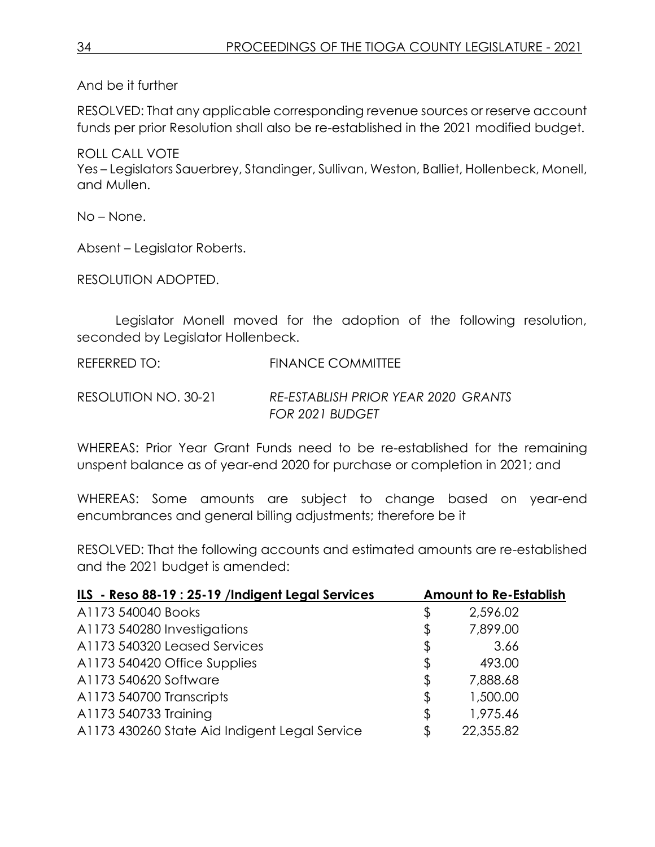And be it further

RESOLVED: That any applicable corresponding revenue sources or reserve account funds per prior Resolution shall also be re-established in the 2021 modified budget.

ROLL CALL VOTE Yes – Legislators Sauerbrey, Standinger, Sullivan, Weston, Balliet, Hollenbeck, Monell, and Mullen.

No – None.

Absent – Legislator Roberts.

RESOLUTION ADOPTED.

Legislator Monell moved for the adoption of the following resolution, seconded by Legislator Hollenbeck.

REFERRED TO: FINANCE COMMITTEE

RESOLUTION NO. 30-21 *RE-ESTABLISH PRIOR YEAR 2020 GRANTS FOR 2021 BUDGET*

WHEREAS: Prior Year Grant Funds need to be re-established for the remaining unspent balance as of year-end 2020 for purchase or completion in 2021; and

WHEREAS: Some amounts are subject to change based on year-end encumbrances and general billing adjustments; therefore be it

RESOLVED: That the following accounts and estimated amounts are re-established and the 2021 budget is amended:

| ILS - Reso 88-19 : 25-19 /Indigent Legal Services |    | <b>Amount to Re-Establish</b> |
|---------------------------------------------------|----|-------------------------------|
| A1173 540040 Books                                | \$ | 2,596.02                      |
| A1173 540280 Investigations                       | \$ | 7,899.00                      |
| A1173 540320 Leased Services                      | \$ | 3.66                          |
| A1173 540420 Office Supplies                      | \$ | 493.00                        |
| A1173 540620 Software                             | \$ | 7,888.68                      |
| A1173 540700 Transcripts                          | \$ | 1,500.00                      |
| A1173 540733 Training                             | \$ | 1,975.46                      |
| A1173 430260 State Aid Indigent Legal Service     | Æ. | 22,355.82                     |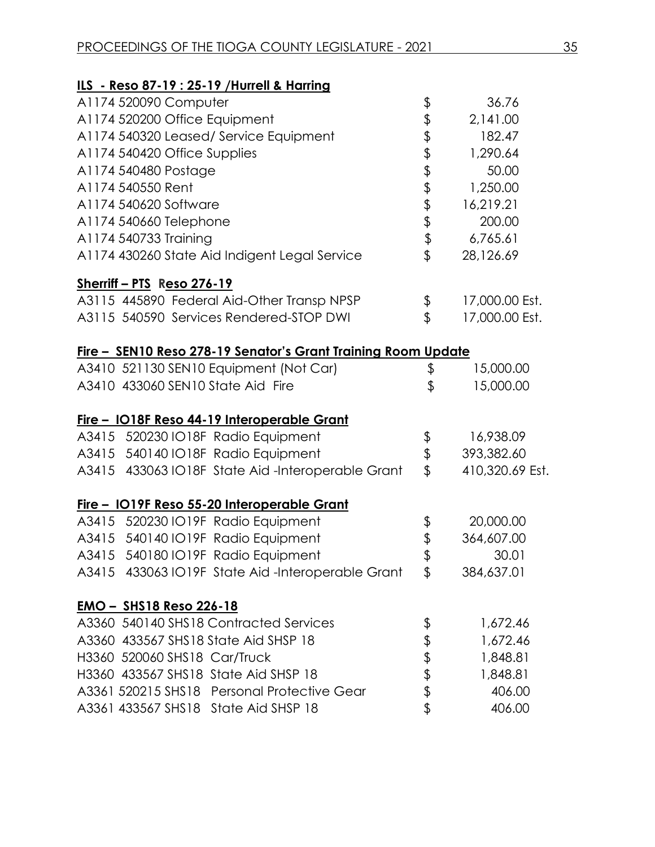| ILS - Reso 87-19 : 25-19 / Hurrell & Harring                         |                      |                 |
|----------------------------------------------------------------------|----------------------|-----------------|
| A1174 520090 Computer                                                | \$                   | 36.76           |
| A1174 520200 Office Equipment                                        |                      | 2,141.00        |
| A1174 540320 Leased/ Service Equipment                               | \$\$\$\$\$\$\$\$\$\$ | 182.47          |
| A1174 540420 Office Supplies                                         |                      | 1,290.64        |
| A1174 540480 Postage                                                 |                      | 50.00           |
| A1174 540550 Rent                                                    |                      | 1,250.00        |
| A1174 540620 Software                                                |                      | 16,219.21       |
| A1174 540660 Telephone                                               |                      | 200.00          |
| A1174 540733 Training                                                |                      | 6,765.61        |
| A1174 430260 State Aid Indigent Legal Service                        |                      | 28,126.69       |
| Sherriff - PTS Reso 276-19                                           |                      |                 |
| A3115 445890 Federal Aid-Other Transp NPSP                           | \$                   | 17,000.00 Est.  |
| A3115 540590 Services Rendered-STOP DWI                              | \$                   | 17,000.00 Est.  |
| <u>Fire - SEN10 Reso 278-19 Senator's Grant Training Room Update</u> |                      |                 |
| A3410 521130 SEN10 Equipment (Not Car)                               | \$                   | 15,000.00       |
| A3410 433060 SEN10 State Aid Fire                                    | \$                   | 15,000.00       |
| <u>Fire - IO18F Reso 44-19 Interoperable Grant</u>                   |                      |                 |
| A3415 520230 IO18F Radio Equipment                                   | \$                   | 16,938.09       |
| A3415 540140 IO18F Radio Equipment                                   | \$                   | 393,382.60      |
| A3415 433063 IO18F State Aid-Interoperable Grant                     | $\mathfrak{P}$       | 410,320.69 Est. |
| Fire - IO19F Reso 55-20 Interoperable Grant                          |                      |                 |
| A3415 520230 IO19F Radio Equipment                                   | \$                   | 20,000.00       |
| A3415 540140 IO19F Radio Equipment                                   | \$                   | 364,607.00      |
| A3415 540180 IO19F Radio Equipment                                   | \$                   | 30.01           |
| A3415 433063 IO19F State Aid-Interoperable Grant                     | \$                   | 384,637.01      |
| <u>EMO – SHS18 Reso 226-18</u>                                       |                      |                 |
| A3360 540140 SHS18 Contracted Services                               | \$                   | 1,672.46        |
| A3360 433567 SHS18 State Aid SHSP 18                                 |                      | 1,672.46        |
| H3360 520060 SHS18 Car/Truck                                         | むわま                  | 1,848.81        |
| H3360 433567 SHS18 State Aid SHSP 18                                 |                      | 1,848.81        |
| A3361 520215 SHS18 Personal Protective Gear                          |                      | 406.00          |
| A3361 433567 SHS18 State Aid SHSP 18                                 | \$                   | 406.00          |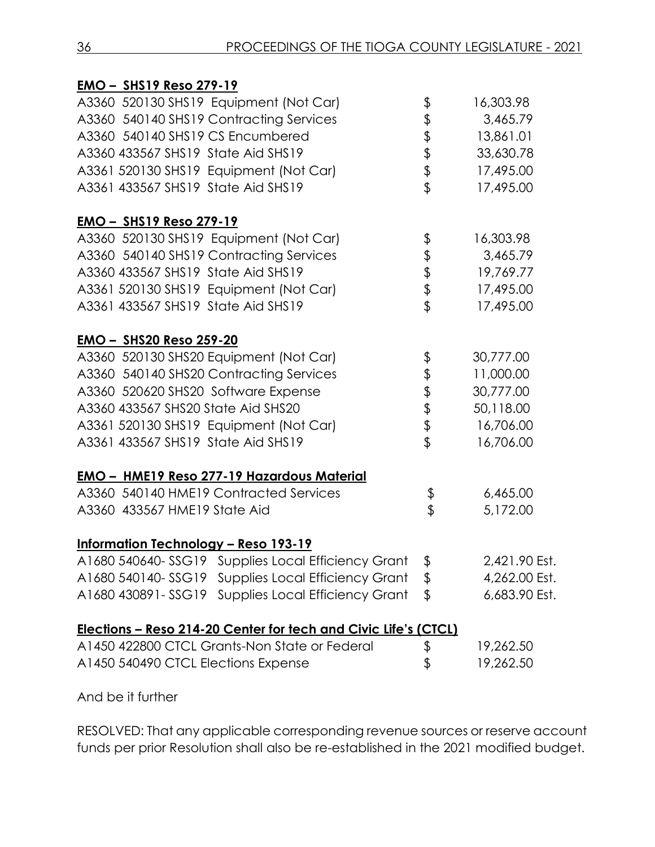| <b>EMO - SHS19 Reso 279-19</b>                                  |                           |               |
|-----------------------------------------------------------------|---------------------------|---------------|
| A3360 520130 SHS19 Equipment (Not Car)                          | \$                        | 16,303.98     |
| A3360 540140 SHS19 Contracting Services                         | \$                        | 3,465.79      |
| A3360 540140 SHS19 CS Encumbered                                |                           | 13,861.01     |
| A3360 433567 SHS19 State Aid SHS19                              | \$\$\$\$                  | 33,630.78     |
| A3361 520130 SHS19 Equipment (Not Car)                          |                           | 17,495.00     |
| A3361 433567 SHS19 State Aid SHS19                              |                           | 17,495.00     |
| <b>EMO - SHS19 Reso 279-19</b>                                  |                           |               |
| A3360 520130 SHS19 Equipment (Not Car)                          |                           | 16,303.98     |
| A3360 540140 SHS19 Contracting Services                         | もままま                      | 3,465.79      |
| A3360 433567 SHS19 State Aid SHS19                              |                           | 19,769.77     |
| A3361 520130 SHS19 Equipment (Not Car)                          |                           | 17,495.00     |
| A3361 433567 SHS19 State Aid SHS19                              |                           | 17,495.00     |
| <u>EMO - SHS20 Reso 259-20</u>                                  |                           |               |
| A3360 520130 SHS20 Equipment (Not Car)                          | \$                        | 30,777.00     |
| A3360 540140 SHS20 Contracting Services                         | \$\$\$\$\$                | 11,000.00     |
| A3360 520620 SHS20 Software Expense                             |                           | 30,777.00     |
| A3360 433567 SHS20 State Aid SHS20                              |                           | 50,118.00     |
| A3361 520130 SHS19 Equipment (Not Car)                          |                           | 16,706.00     |
| A3361 433567 SHS19 State Aid SHS19                              |                           | 16,706.00     |
| <b>EMO - HME19 Reso 277-19 Hazardous Material</b>               |                           |               |
| A3360 540140 HME19 Contracted Services                          | \$                        | 6,465.00      |
| A3360 433567 HME19 State Aid                                    | $\overline{\mathfrak{s}}$ | 5,172.00      |
| <b>Information Technology - Reso 193-19</b>                     |                           |               |
| A1680 540640-SSG19 Supplies Local Efficiency Grant \$           |                           | 2,421.90 Est. |
| A1680 540140-SSG19 Supplies Local Efficiency Grant              | \$                        | 4,262.00 Est. |
| <b>Supplies Local Efficiency Grant</b><br>A1680 430891-SSG19    | \$                        | 6,683.90 Est. |
| Elections - Reso 214-20 Center for tech and Civic Life's (CTCL) |                           |               |
| A1450 422800 CTCL Grants-Non State or Federal                   | \$                        | 19,262.50     |
| A1450 540490 CTCL Elections Expense                             | \$                        | 19,262.50     |

And be it further

RESOLVED: That any applicable corresponding revenue sources or reserve account funds per prior Resolution shall also be re-established in the 2021 modified budget.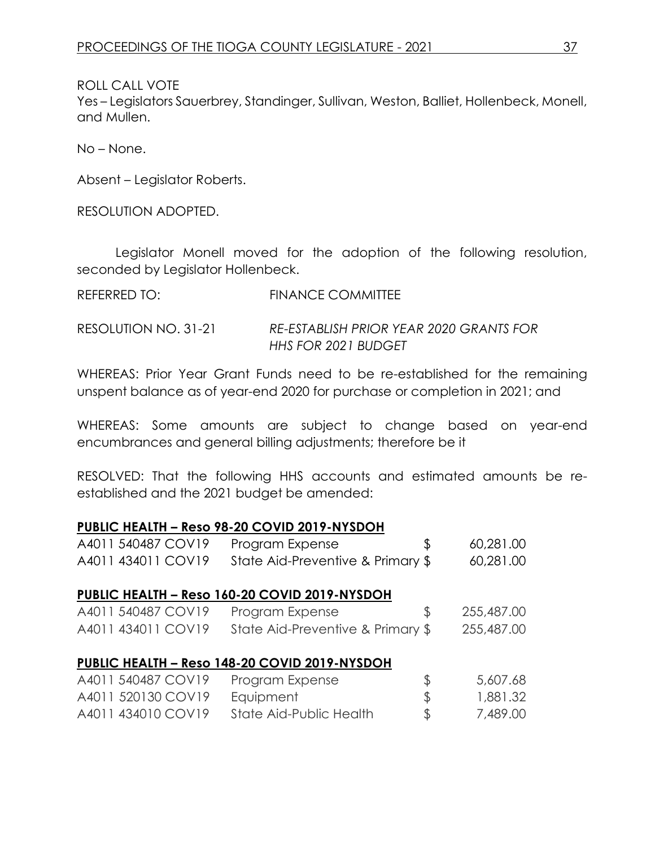ROLL CALL VOTE

Yes – Legislators Sauerbrey, Standinger, Sullivan, Weston, Balliet, Hollenbeck, Monell, and Mullen.

No – None.

Absent – Legislator Roberts.

RESOLUTION ADOPTED.

Legislator Monell moved for the adoption of the following resolution, seconded by Legislator Hollenbeck.

| REFERRED TO:         | FINANCE COMMITTEE                                                     |
|----------------------|-----------------------------------------------------------------------|
| RESOLUTION NO. 31-21 | RE-ESTABLISH PRIOR YEAR 2020 GRANTS FOR<br><b>HHS FOR 2021 BUDGET</b> |

WHEREAS: Prior Year Grant Funds need to be re-established for the remaining unspent balance as of year-end 2020 for purchase or completion in 2021; and

WHEREAS: Some amounts are subject to change based on year-end encumbrances and general billing adjustments; therefore be it

RESOLVED: That the following HHS accounts and estimated amounts be reestablished and the 2021 budget be amended:

# **PUBLIC HEALTH – Reso 98-20 COVID 2019-NYSDOH**

| A4011 540487 COV19 | Program Expense                               | \$<br>60,281.00  |
|--------------------|-----------------------------------------------|------------------|
| A4011 434011 COV19 | State Aid-Preventive & Primary \$             | 60,281.00        |
|                    |                                               |                  |
|                    | PUBLIC HEALTH - Reso 160-20 COVID 2019-NYSDOH |                  |
| A4011 540487 COV19 | Program Expense                               | \$<br>255,487.00 |
| A4011 434011 COV19 | State Aid-Preventive & Primary \$             | 255,487.00       |
|                    |                                               |                  |
|                    | PUBLIC HEALTH - Reso 148-20 COVID 2019-NYSDOH |                  |
| A4011 540487 COV19 | Program Expense                               | \$<br>5,607.68   |
| A4011 520130 COV19 | Equipment                                     | \$<br>1,881.32   |
| A4011 434010 COV19 | State Aid-Public Health                       | \$<br>7,489.00   |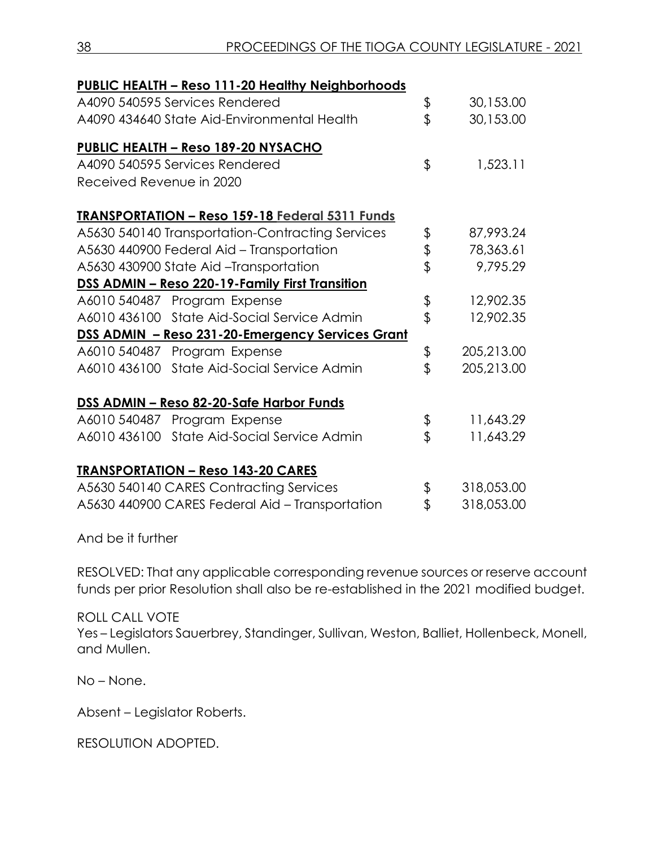| PUBLIC HEALTH - Reso 111-20 Healthy Neighborhoods      |                  |
|--------------------------------------------------------|------------------|
| A4090 540595 Services Rendered                         | \$<br>30,153.00  |
| A4090 434640 State Aid-Environmental Health            | \$<br>30,153.00  |
| <b>PUBLIC HEALTH - Reso 189-20 NYSACHO</b>             |                  |
| A4090 540595 Services Rendered                         | \$<br>1,523.11   |
| Received Revenue in 2020                               |                  |
| <b>TRANSPORTATION - Reso 159-18 Federal 5311 Funds</b> |                  |
| A5630 540140 Transportation-Contracting Services       | \$<br>87,993.24  |
| A5630 440900 Federal Aid - Transportation              | \$<br>78,363.61  |
| A5630 430900 State Aid -Transportation                 | \$<br>9,795.29   |
| DSS ADMIN - Reso 220-19-Family First Transition        |                  |
| A6010 540487 Program Expense                           | \$<br>12,902.35  |
| A6010 436100 State Aid-Social Service Admin            | \$<br>12,902.35  |
| DSS ADMIN - Reso 231-20-Emergency Services Grant       |                  |
| A6010 540487 Program Expense                           | \$<br>205,213.00 |
| A6010 436100 State Aid-Social Service Admin            | \$<br>205,213.00 |
| DSS ADMIN - Reso 82-20-Safe Harbor Funds               |                  |
| A6010 540487 Program Expense                           | \$<br>11,643.29  |
| A6010 436100 State Aid-Social Service Admin            | \$<br>11,643.29  |
| <b>TRANSPORTATION - Reso 143-20 CARES</b>              |                  |
| A5630 540140 CARES Contracting Services                | \$<br>318,053.00 |
| A5630 440900 CARES Federal Aid - Transportation        | \$<br>318,053.00 |

And be it further

RESOLVED: That any applicable corresponding revenue sources or reserve account funds per prior Resolution shall also be re-established in the 2021 modified budget.

ROLL CALL VOTE Yes – Legislators Sauerbrey, Standinger, Sullivan, Weston, Balliet, Hollenbeck, Monell, and Mullen.

No – None.

Absent – Legislator Roberts.

RESOLUTION ADOPTED.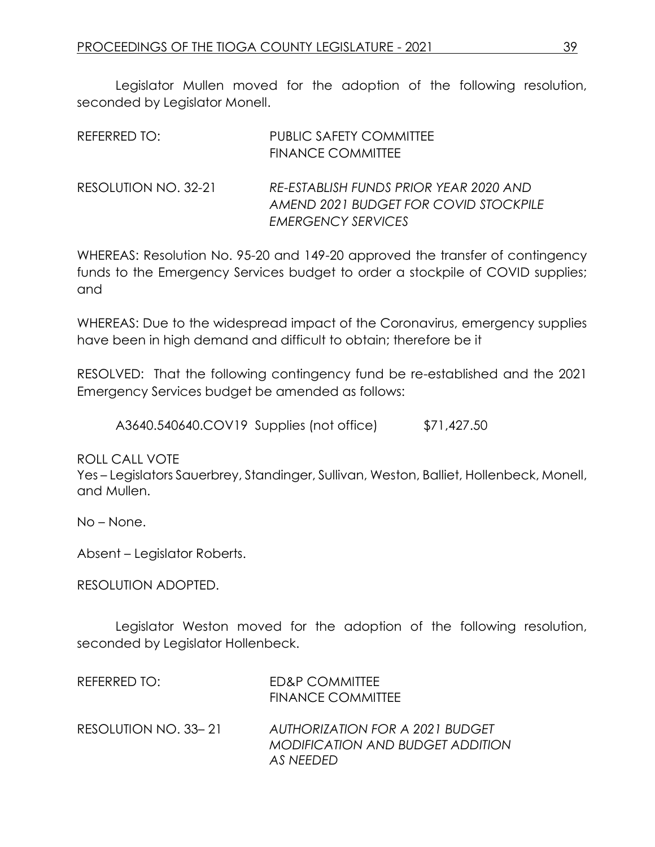Legislator Mullen moved for the adoption of the following resolution, seconded by Legislator Monell.

| REFERRED TO:         | <b>PUBLIC SAFETY COMMITTEE</b><br><b>FINANCE COMMITTEE</b>                                                   |
|----------------------|--------------------------------------------------------------------------------------------------------------|
| RESOLUTION NO. 32-21 | RE-ESTABLISH FUNDS PRIOR YEAR 2020 AND<br>AMEND 2021 BUDGET FOR COVID STOCKPILE<br><b>EMERGENCY SERVICES</b> |

WHEREAS: Resolution No. 95-20 and 149-20 approved the transfer of contingency funds to the Emergency Services budget to order a stockpile of COVID supplies; and

WHEREAS: Due to the widespread impact of the Coronavirus, emergency supplies have been in high demand and difficult to obtain; therefore be it

RESOLVED: That the following contingency fund be re-established and the 2021 Emergency Services budget be amended as follows:

A3640.540640.COV19 Supplies (not office) \$71,427.50

ROLL CALL VOTE

Yes – Legislators Sauerbrey, Standinger, Sullivan, Weston, Balliet, Hollenbeck, Monell, and Mullen.

No – None.

Absent – Legislator Roberts.

RESOLUTION ADOPTED.

Legislator Weston moved for the adoption of the following resolution, seconded by Legislator Hollenbeck.

| REFERRED TO:         | ED&P COMMITTEE<br><b>FINANCE COMMITTEE</b>                                       |
|----------------------|----------------------------------------------------------------------------------|
| RESOLUTION NO. 33-21 | AUTHORIZATION FOR A 2021 BUDGET<br>MODIFICATION AND BUDGET ADDITION<br>AS NEEDED |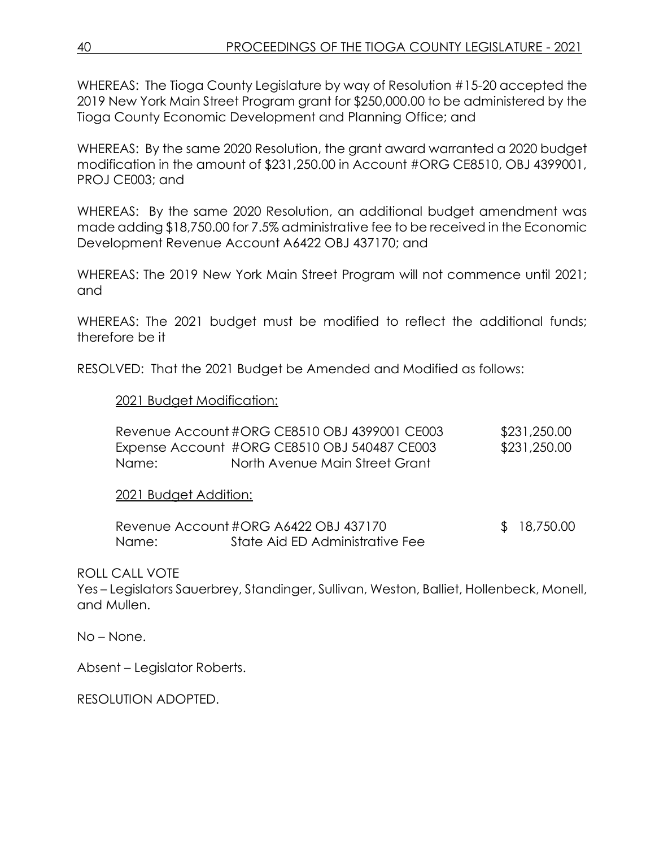WHEREAS: The Tioga County Legislature by way of Resolution #15-20 accepted the 2019 New York Main Street Program grant for \$250,000.00 to be administered by the Tioga County Economic Development and Planning Office; and

WHEREAS: By the same 2020 Resolution, the grant award warranted a 2020 budget modification in the amount of \$231,250.00 in Account #ORG CE8510, OBJ 4399001, PROJ CE003; and

WHEREAS: By the same 2020 Resolution, an additional budget amendment was made adding \$18,750.00 for 7.5% administrative fee to be received in the Economic Development Revenue Account A6422 OBJ 437170; and

WHEREAS: The 2019 New York Main Street Program will not commence until 2021; and

WHEREAS: The 2021 budget must be modified to reflect the additional funds; therefore be it

RESOLVED: That the 2021 Budget be Amended and Modified as follows:

# 2021 Budget Modification:

|       | Revenue Account #ORG CE8510 OBJ 4399001 CE003 | \$231,250.00 |
|-------|-----------------------------------------------|--------------|
|       | Expense Account #ORG CE8510 OBJ 540487 CE003  | \$231,250.00 |
| Name: | North Avenue Main Street Grant                |              |

#### 2021 Budget Addition:

Revenue Account #ORG A6422 OBJ 437170 \$ 18,750.00 Name: State Aid ED Administrative Fee

ROLL CALL VOTE

Yes – Legislators Sauerbrey, Standinger, Sullivan, Weston, Balliet, Hollenbeck, Monell, and Mullen.

No – None.

Absent – Legislator Roberts.

RESOLUTION ADOPTED.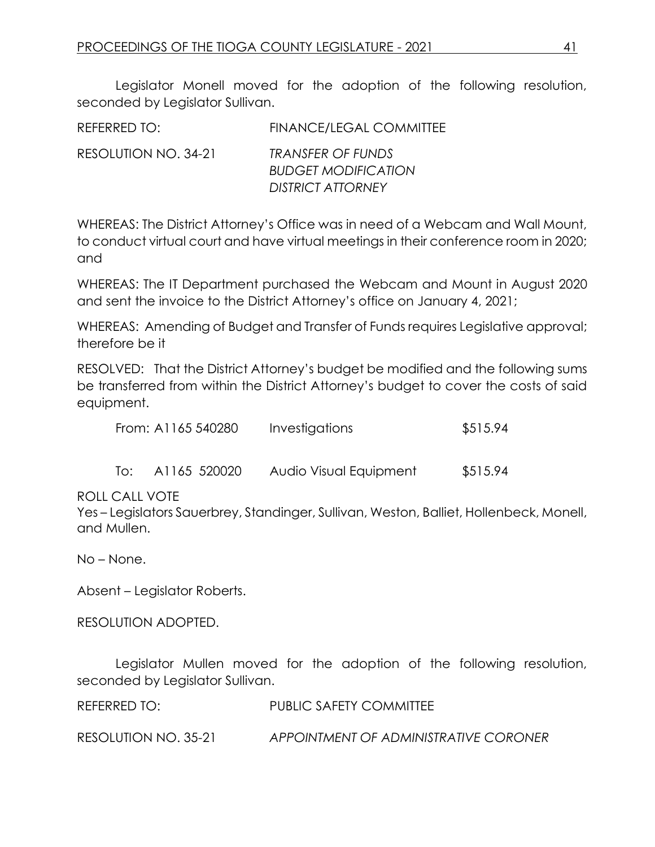Legislator Monell moved for the adoption of the following resolution, seconded by Legislator Sullivan.

| REFERRED TO:         | <b>FINANCE/LEGAL COMMITTEE</b>                                                     |
|----------------------|------------------------------------------------------------------------------------|
| RESOLUTION NO. 34-21 | <b>TRANSFER OF FUNDS</b><br><b>BUDGET MODIFICATION</b><br><b>DISTRICT ATTORNEY</b> |
|                      |                                                                                    |

WHEREAS: The District Attorney's Office was in need of a Webcam and Wall Mount, to conduct virtual court and have virtual meetings in their conference room in 2020; and

WHEREAS: The IT Department purchased the Webcam and Mount in August 2020 and sent the invoice to the District Attorney's office on January 4, 2021;

WHEREAS: Amending of Budget and Transfer of Funds requires Legislative approval; therefore be it

RESOLVED: That the District Attorney's budget be modified and the following sums be transferred from within the District Attorney's budget to cover the costs of said equipment.

| From: A1165 540280 | Investigations | \$515.94 |
|--------------------|----------------|----------|
|--------------------|----------------|----------|

| A1165 520020 | To: |  | Audio Visual Equipment | \$515.94 |
|--------------|-----|--|------------------------|----------|
|--------------|-----|--|------------------------|----------|

ROLL CALL VOTE

Yes – Legislators Sauerbrey, Standinger, Sullivan, Weston, Balliet, Hollenbeck, Monell, and Mullen.

No – None.

Absent – Legislator Roberts.

RESOLUTION ADOPTED.

Legislator Mullen moved for the adoption of the following resolution, seconded by Legislator Sullivan.

REFERRED TO: PUBLIC SAFETY COMMITTEE

RESOLUTION NO. 35-21 *APPOINTMENT OF ADMINISTRATIVE CORONER*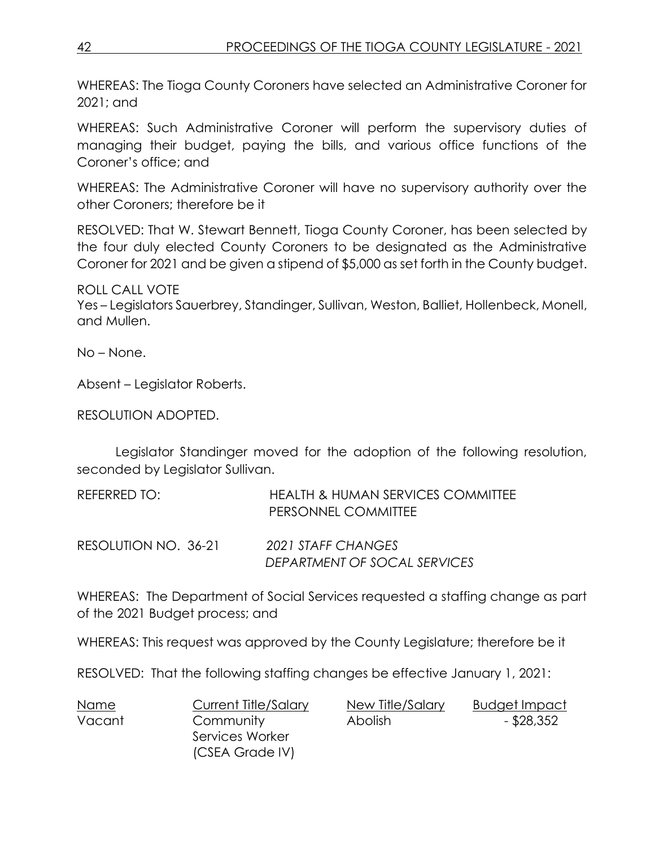WHEREAS: The Tioga County Coroners have selected an Administrative Coroner for 2021; and

WHEREAS: Such Administrative Coroner will perform the supervisory duties of managing their budget, paying the bills, and various office functions of the Coroner's office; and

WHEREAS: The Administrative Coroner will have no supervisory authority over the other Coroners; therefore be it

RESOLVED: That W. Stewart Bennett, Tioga County Coroner, has been selected by the four duly elected County Coroners to be designated as the Administrative Coroner for 2021 and be given a stipend of \$5,000 as set forth in the County budget.

ROLL CALL VOTE

Yes – Legislators Sauerbrey, Standinger, Sullivan, Weston, Balliet, Hollenbeck, Monell, and Mullen.

No – None.

Absent – Legislator Roberts.

RESOLUTION ADOPTED.

Legislator Standinger moved for the adoption of the following resolution, seconded by Legislator Sullivan.

| REFERRED TO:         | <b>HEALTH &amp; HUMAN SERVICES COMMITTEE</b><br>PERSONNEL COMMITTEE |
|----------------------|---------------------------------------------------------------------|
| RESOLUTION NO. 36-21 | 2021 STAFF CHANGES<br>DEPARTMENT OF SOCAL SERVICES                  |

WHEREAS: The Department of Social Services requested a staffing change as part of the 2021 Budget process; and

WHEREAS: This request was approved by the County Legislature; therefore be it

RESOLVED: That the following staffing changes be effective January 1, 2021:

| Name   | Current Title/Salary | New Title/Salary | Budget Impact |
|--------|----------------------|------------------|---------------|
| Vacant | Community            | Abolish          | $-$ \$28,352  |
|        | Services Worker      |                  |               |
|        | (CSEA Grade IV)      |                  |               |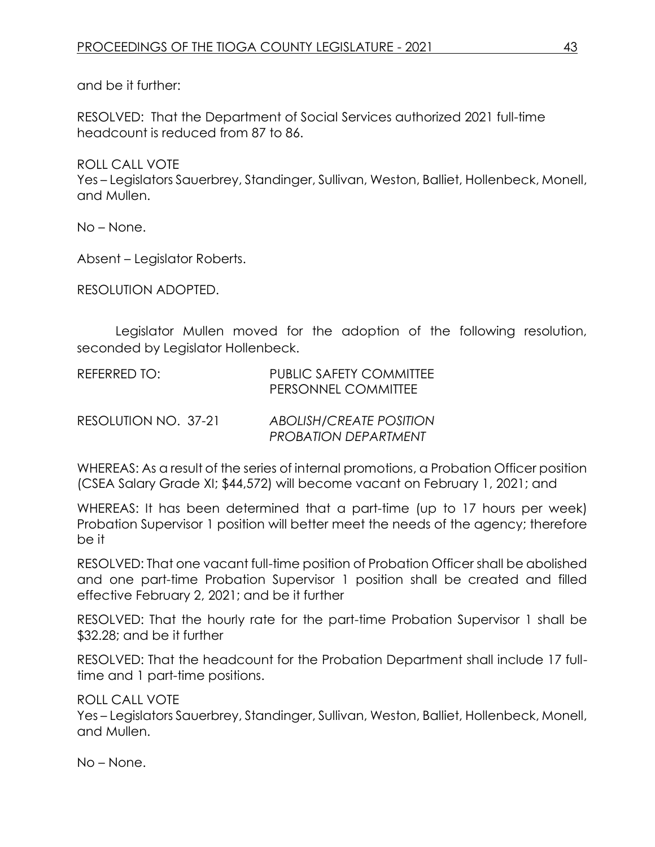and be it further:

RESOLVED: That the Department of Social Services authorized 2021 full-time headcount is reduced from 87 to 86.

ROLL CALL VOTE Yes – Legislators Sauerbrey, Standinger, Sullivan, Weston, Balliet, Hollenbeck, Monell, and Mullen.

No – None.

Absent – Legislator Roberts.

RESOLUTION ADOPTED.

Legislator Mullen moved for the adoption of the following resolution, seconded by Legislator Hollenbeck.

| REFERRED TO:         | PUBLIC SAFETY COMMITTEE<br>PERSONNEL COMMITTEE                |
|----------------------|---------------------------------------------------------------|
| RESOLUTION NO. 37-21 | <b>ABOLISH/CREATE POSITION</b><br><b>PROBATION DEPARTMENT</b> |

WHEREAS: As a result of the series of internal promotions, a Probation Officer position (CSEA Salary Grade XI; \$44,572) will become vacant on February 1, 2021; and

WHEREAS: It has been determined that a part-time (up to 17 hours per week) Probation Supervisor 1 position will better meet the needs of the agency; therefore be it

RESOLVED: That one vacant full-time position of Probation Officer shall be abolished and one part-time Probation Supervisor 1 position shall be created and filled effective February 2, 2021; and be it further

RESOLVED: That the hourly rate for the part-time Probation Supervisor 1 shall be \$32.28; and be it further

RESOLVED: That the headcount for the Probation Department shall include 17 fulltime and 1 part-time positions.

ROLL CALL VOTE

Yes – Legislators Sauerbrey, Standinger, Sullivan, Weston, Balliet, Hollenbeck, Monell, and Mullen.

No – None.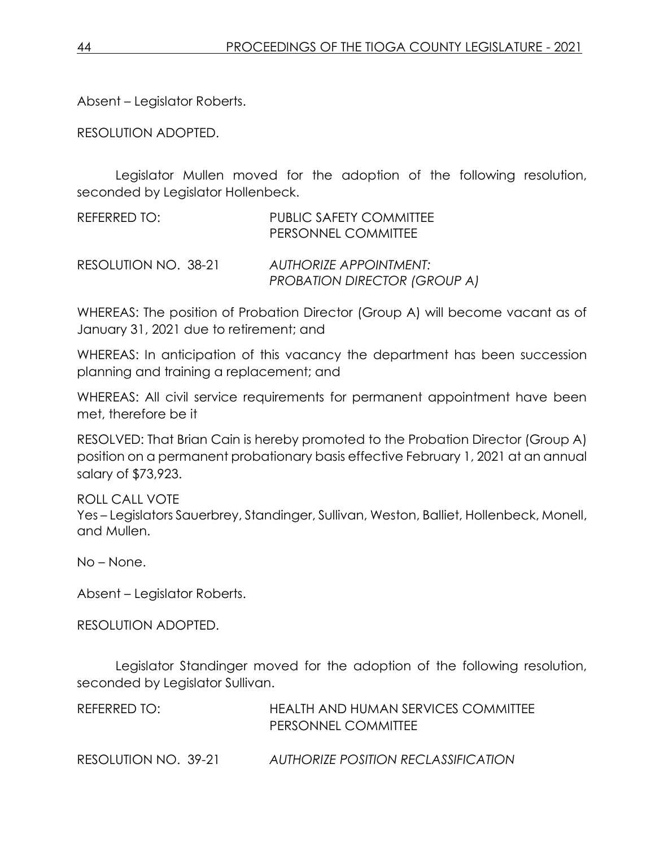Absent – Legislator Roberts.

RESOLUTION ADOPTED.

Legislator Mullen moved for the adoption of the following resolution, seconded by Legislator Hollenbeck.

| REFERRED TO:         | PUBLIC SAFETY COMMITTEE<br>PERSONNEL COMMITTEE                       |
|----------------------|----------------------------------------------------------------------|
| RESOLUTION NO. 38-21 | <b>AUTHORIZE APPOINTMENT:</b><br><b>PROBATION DIRECTOR (GROUP A)</b> |

WHEREAS: The position of Probation Director (Group A) will become vacant as of January 31, 2021 due to retirement; and

WHEREAS: In anticipation of this vacancy the department has been succession planning and training a replacement; and

WHEREAS: All civil service requirements for permanent appointment have been met, therefore be it

RESOLVED: That Brian Cain is hereby promoted to the Probation Director (Group A) position on a permanent probationary basis effective February 1, 2021 at an annual salary of \$73,923.

ROLL CALL VOTE Yes – Legislators Sauerbrey, Standinger, Sullivan, Weston, Balliet, Hollenbeck, Monell, and Mullen.

No – None.

Absent – Legislator Roberts.

RESOLUTION ADOPTED.

Legislator Standinger moved for the adoption of the following resolution, seconded by Legislator Sullivan.

| REFERRED TO:         | HEALTH AND HUMAN SERVICES COMMITTEE<br>PERSONNEL COMMITTEE |
|----------------------|------------------------------------------------------------|
| RESOLUTION NO. 39-21 | AUTHORIZE POSITION RECLASSIFICATION                        |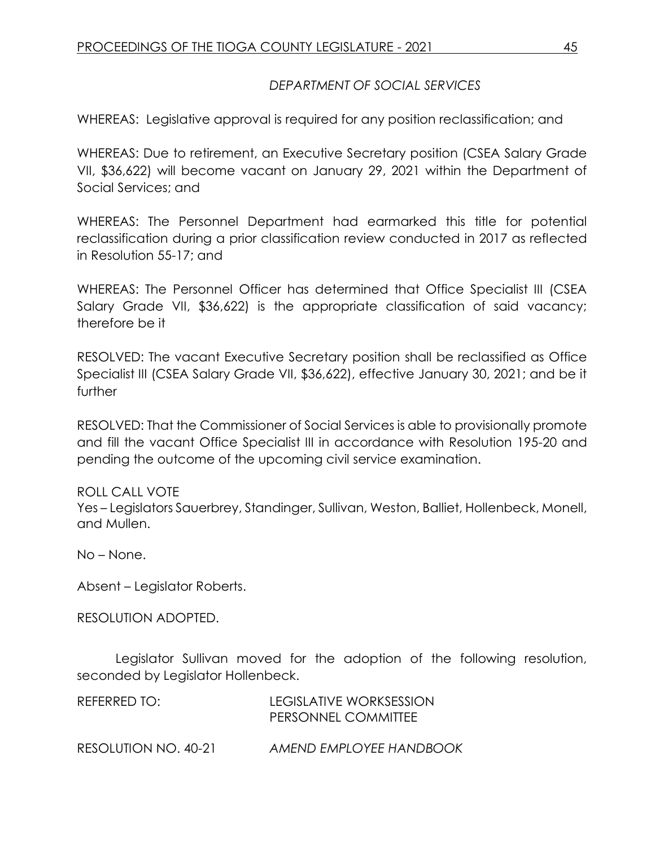# *DEPARTMENT OF SOCIAL SERVICES*

WHEREAS: Legislative approval is required for any position reclassification; and

WHEREAS: Due to retirement, an Executive Secretary position (CSEA Salary Grade VII, \$36,622) will become vacant on January 29, 2021 within the Department of Social Services; and

WHEREAS: The Personnel Department had earmarked this title for potential reclassification during a prior classification review conducted in 2017 as reflected in Resolution 55-17; and

WHEREAS: The Personnel Officer has determined that Office Specialist III (CSEA Salary Grade VII, \$36,622) is the appropriate classification of said vacancy; therefore be it

RESOLVED: The vacant Executive Secretary position shall be reclassified as Office Specialist III (CSEA Salary Grade VII, \$36,622), effective January 30, 2021; and be it further

RESOLVED: That the Commissioner of Social Services is able to provisionally promote and fill the vacant Office Specialist III in accordance with Resolution 195-20 and pending the outcome of the upcoming civil service examination.

#### ROLL CALL VOTE

Yes – Legislators Sauerbrey, Standinger, Sullivan, Weston, Balliet, Hollenbeck, Monell, and Mullen.

No – None.

Absent – Legislator Roberts.

RESOLUTION ADOPTED.

Legislator Sullivan moved for the adoption of the following resolution, seconded by Legislator Hollenbeck.

| REFERRED TO:         | LEGISLATIVE WORKSESSION<br>PERSONNEL COMMITTEE |
|----------------------|------------------------------------------------|
| RESOLUTION NO. 40-21 | AMEND EMPLOYEE HANDBOOK                        |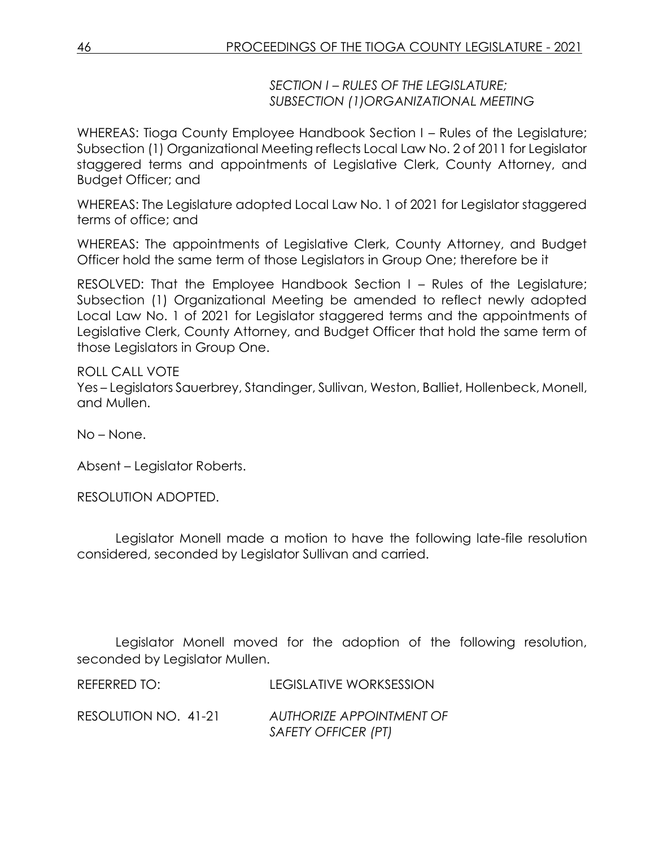*SECTION I – RULES OF THE LEGISLATURE; SUBSECTION (1)ORGANIZATIONAL MEETING*

WHEREAS: Tioga County Employee Handbook Section I – Rules of the Legislature; Subsection (1) Organizational Meeting reflects Local Law No. 2 of 2011 for Legislator staggered terms and appointments of Legislative Clerk, County Attorney, and Budget Officer; and

WHEREAS: The Legislature adopted Local Law No. 1 of 2021 for Legislator staggered terms of office; and

WHEREAS: The appointments of Legislative Clerk, County Attorney, and Budget Officer hold the same term of those Legislators in Group One; therefore be it

RESOLVED: That the Employee Handbook Section I – Rules of the Legislature; Subsection (1) Organizational Meeting be amended to reflect newly adopted Local Law No. 1 of 2021 for Legislator staggered terms and the appointments of Legislative Clerk, County Attorney, and Budget Officer that hold the same term of those Legislators in Group One.

ROLL CALL VOTE Yes – Legislators Sauerbrey, Standinger, Sullivan, Weston, Balliet, Hollenbeck, Monell, and Mullen.

No – None.

Absent – Legislator Roberts.

RESOLUTION ADOPTED.

Legislator Monell made a motion to have the following late-file resolution considered, seconded by Legislator Sullivan and carried.

Legislator Monell moved for the adoption of the following resolution, seconded by Legislator Mullen.

REFERRED TO: LEGISLATIVE WORKSESSION

RESOLUTION NO. 41-21 *AUTHORIZE APPOINTMENT OF SAFETY OFFICER (PT)*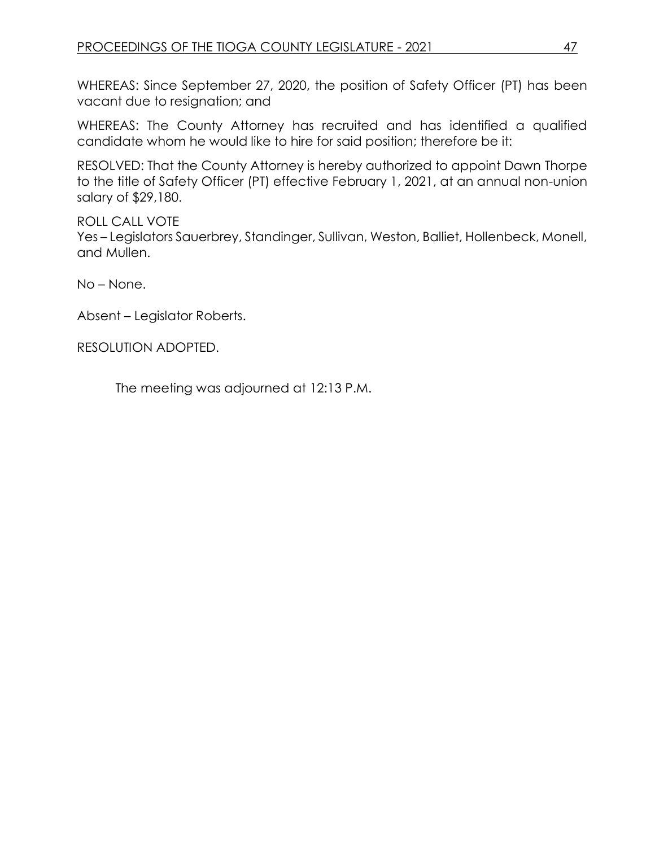WHEREAS: Since September 27, 2020, the position of Safety Officer (PT) has been vacant due to resignation; and

WHEREAS: The County Attorney has recruited and has identified a qualified candidate whom he would like to hire for said position; therefore be it:

RESOLVED: That the County Attorney is hereby authorized to appoint Dawn Thorpe to the title of Safety Officer (PT) effective February 1, 2021, at an annual non-union salary of \$29,180.

# ROLL CALL VOTE

Yes – Legislators Sauerbrey, Standinger, Sullivan, Weston, Balliet, Hollenbeck, Monell, and Mullen.

No – None.

Absent – Legislator Roberts.

RESOLUTION ADOPTED.

The meeting was adjourned at 12:13 P.M.